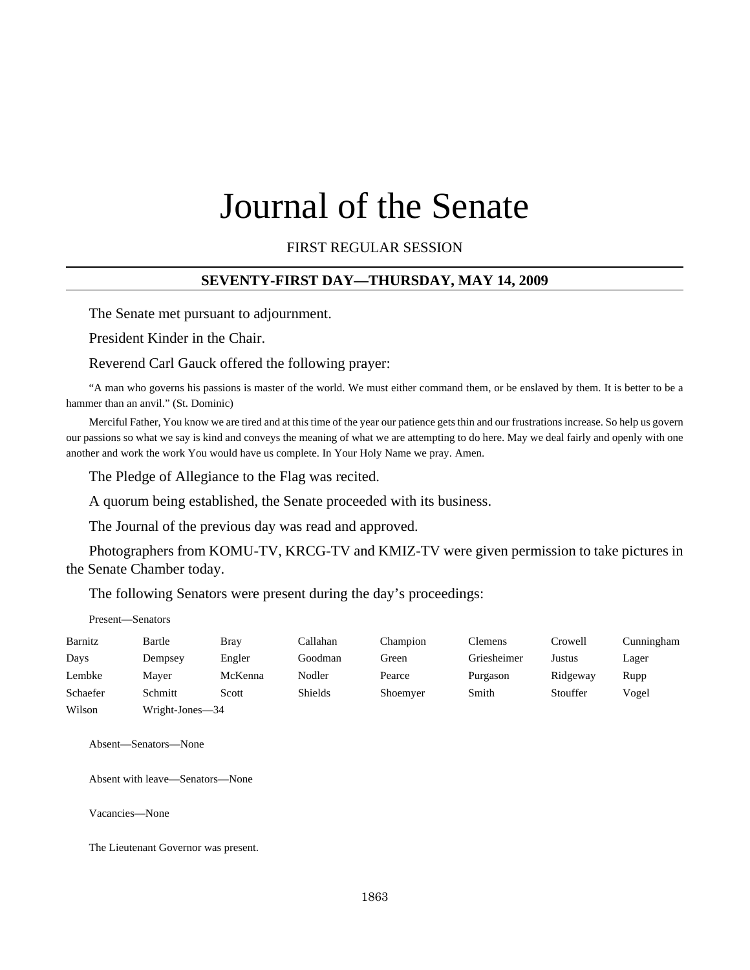# Journal of the Senate

FIRST REGULAR SESSION

#### **SEVENTY-FIRST DAY—THURSDAY, MAY 14, 2009**

The Senate met pursuant to adjournment.

President Kinder in the Chair.

Reverend Carl Gauck offered the following prayer:

"A man who governs his passions is master of the world. We must either command them, or be enslaved by them. It is better to be a hammer than an anvil." (St. Dominic)

Merciful Father, You know we are tired and at this time of the year our patience gets thin and our frustrations increase. So help us govern our passions so what we say is kind and conveys the meaning of what we are attempting to do here. May we deal fairly and openly with one another and work the work You would have us complete. In Your Holy Name we pray. Amen.

The Pledge of Allegiance to the Flag was recited.

A quorum being established, the Senate proceeded with its business.

The Journal of the previous day was read and approved.

Photographers from KOMU-TV, KRCG-TV and KMIZ-TV were given permission to take pictures in the Senate Chamber today.

The following Senators were present during the day's proceedings:

|          | Present—Senators |             |                |          |                |          |            |
|----------|------------------|-------------|----------------|----------|----------------|----------|------------|
| Barnitz  | Bartle           | <b>Bray</b> | Callahan       | Champion | <b>Clemens</b> | Crowell  | Cunningham |
| Days     | Dempsey          | Engler      | Goodman        | Green    | Griesheimer    | Justus   | Lager      |
| Lembke   | Maver            | McKenna     | Nodler         | Pearce   | Purgason       | Ridgeway | Rupp       |
| Schaefer | Schmitt          | Scott       | <b>Shields</b> | Shoemyer | Smith          | Stouffer | Vogel      |
| Wilson   | Wright-Jones-34  |             |                |          |                |          |            |

Absent—Senators—None

Absent with leave—Senators—None

Vacancies—None

The Lieutenant Governor was present.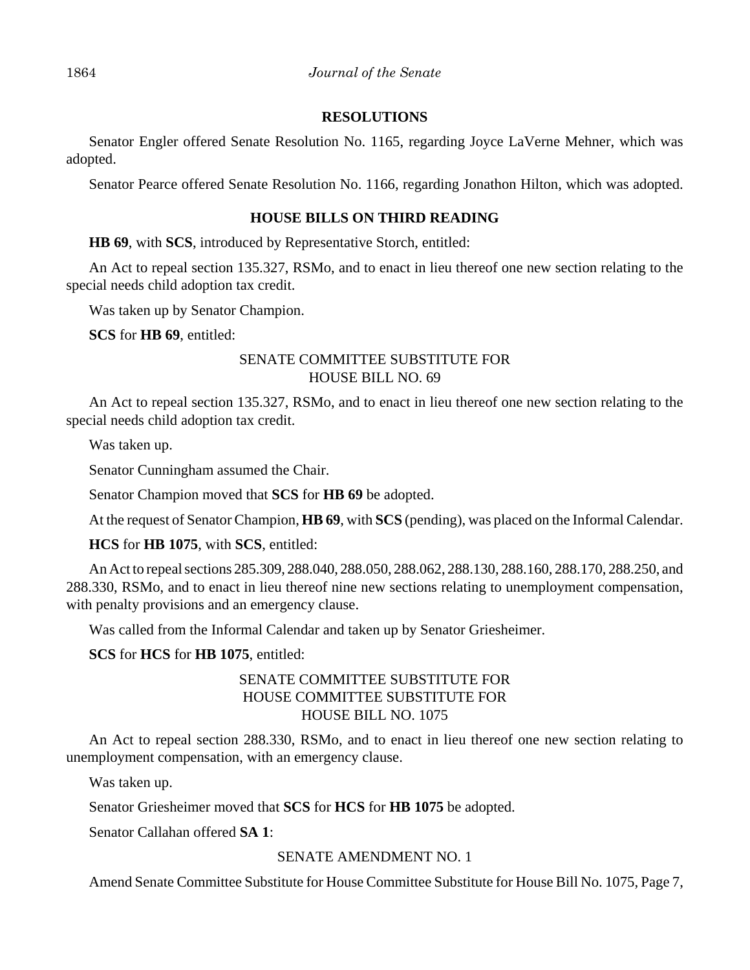## **RESOLUTIONS**

Senator Engler offered Senate Resolution No. 1165, regarding Joyce LaVerne Mehner, which was adopted.

Senator Pearce offered Senate Resolution No. 1166, regarding Jonathon Hilton, which was adopted.

# **HOUSE BILLS ON THIRD READING**

**HB 69**, with **SCS**, introduced by Representative Storch, entitled:

An Act to repeal section 135.327, RSMo, and to enact in lieu thereof one new section relating to the special needs child adoption tax credit.

Was taken up by Senator Champion.

**SCS** for **HB 69**, entitled:

# SENATE COMMITTEE SUBSTITUTE FOR HOUSE BILL NO. 69

An Act to repeal section 135.327, RSMo, and to enact in lieu thereof one new section relating to the special needs child adoption tax credit.

Was taken up.

Senator Cunningham assumed the Chair.

Senator Champion moved that **SCS** for **HB 69** be adopted.

At the request of Senator Champion, **HB 69**, with **SCS** (pending), was placed on the Informal Calendar.

**HCS** for **HB 1075**, with **SCS**, entitled:

An Act to repeal sections 285.309, 288.040, 288.050, 288.062, 288.130, 288.160, 288.170, 288.250, and 288.330, RSMo, and to enact in lieu thereof nine new sections relating to unemployment compensation, with penalty provisions and an emergency clause.

Was called from the Informal Calendar and taken up by Senator Griesheimer.

# **SCS** for **HCS** for **HB 1075**, entitled:

# SENATE COMMITTEE SUBSTITUTE FOR HOUSE COMMITTEE SUBSTITUTE FOR HOUSE BILL NO. 1075

An Act to repeal section 288.330, RSMo, and to enact in lieu thereof one new section relating to unemployment compensation, with an emergency clause.

Was taken up.

Senator Griesheimer moved that **SCS** for **HCS** for **HB 1075** be adopted.

Senator Callahan offered **SA 1**:

# SENATE AMENDMENT NO. 1

Amend Senate Committee Substitute for House Committee Substitute for House Bill No. 1075, Page 7,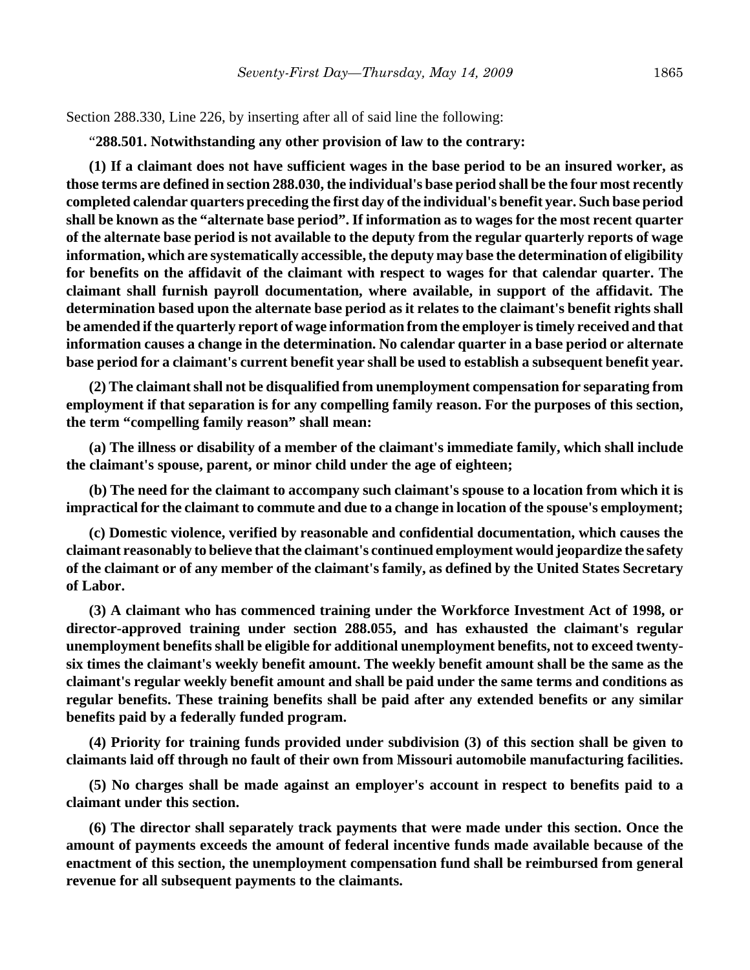Section 288.330, Line 226, by inserting after all of said line the following:

"**288.501. Notwithstanding any other provision of law to the contrary:**

**(1) If a claimant does not have sufficient wages in the base period to be an insured worker, as those terms are defined in section 288.030, the individual's base period shall be the four most recently completed calendar quarters preceding the first day of the individual's benefit year. Such base period shall be known as the "alternate base period". If information as to wages for the most recent quarter of the alternate base period is not available to the deputy from the regular quarterly reports of wage information, which are systematically accessible, the deputy may base the determination of eligibility for benefits on the affidavit of the claimant with respect to wages for that calendar quarter. The claimant shall furnish payroll documentation, where available, in support of the affidavit. The determination based upon the alternate base period as it relates to the claimant's benefit rights shall be amended if the quarterly report of wage information from the employer is timely received and that information causes a change in the determination. No calendar quarter in a base period or alternate base period for a claimant's current benefit year shall be used to establish a subsequent benefit year.**

**(2) The claimant shall not be disqualified from unemployment compensation for separating from employment if that separation is for any compelling family reason. For the purposes of this section, the term "compelling family reason" shall mean:**

**(a) The illness or disability of a member of the claimant's immediate family, which shall include the claimant's spouse, parent, or minor child under the age of eighteen;**

**(b) The need for the claimant to accompany such claimant's spouse to a location from which it is impractical for the claimant to commute and due to a change in location of the spouse's employment;**

**(c) Domestic violence, verified by reasonable and confidential documentation, which causes the claimant reasonably to believe that the claimant's continued employment would jeopardize the safety of the claimant or of any member of the claimant's family, as defined by the United States Secretary of Labor.**

**(3) A claimant who has commenced training under the Workforce Investment Act of 1998, or director-approved training under section 288.055, and has exhausted the claimant's regular unemployment benefits shall be eligible for additional unemployment benefits, not to exceed twentysix times the claimant's weekly benefit amount. The weekly benefit amount shall be the same as the claimant's regular weekly benefit amount and shall be paid under the same terms and conditions as regular benefits. These training benefits shall be paid after any extended benefits or any similar benefits paid by a federally funded program.**

**(4) Priority for training funds provided under subdivision (3) of this section shall be given to claimants laid off through no fault of their own from Missouri automobile manufacturing facilities.**

**(5) No charges shall be made against an employer's account in respect to benefits paid to a claimant under this section.**

**(6) The director shall separately track payments that were made under this section. Once the amount of payments exceeds the amount of federal incentive funds made available because of the enactment of this section, the unemployment compensation fund shall be reimbursed from general revenue for all subsequent payments to the claimants.**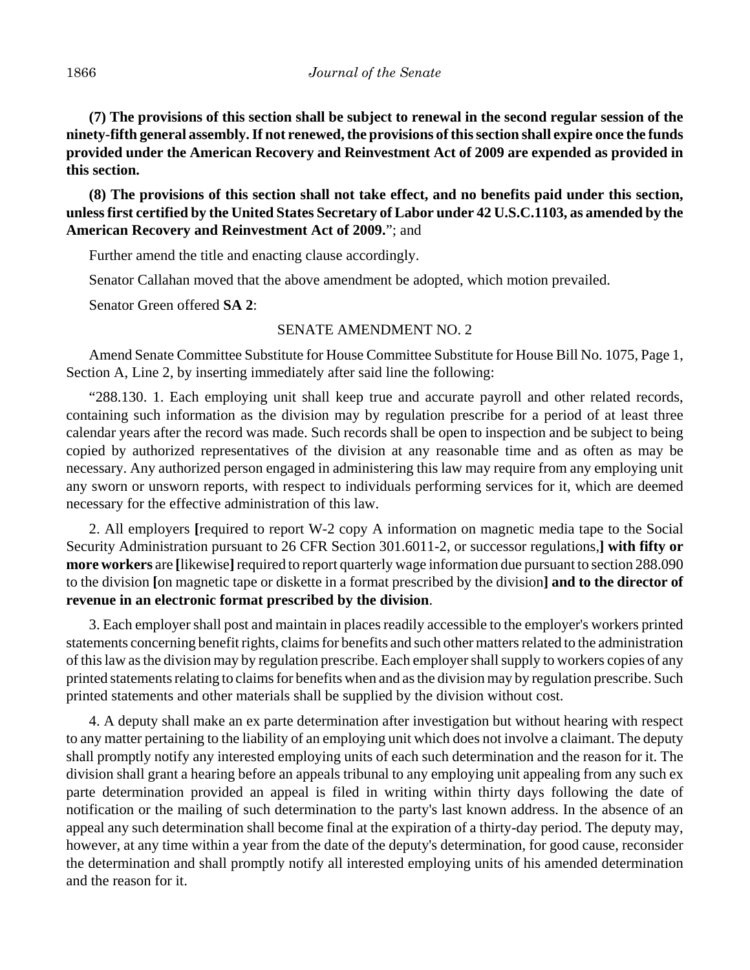**(7) The provisions of this section shall be subject to renewal in the second regular session of the ninety-fifth general assembly. If not renewed, the provisions of this section shall expire once the funds provided under the American Recovery and Reinvestment Act of 2009 are expended as provided in this section.**

**(8) The provisions of this section shall not take effect, and no benefits paid under this section, unless first certified by the United States Secretary of Labor under 42 U.S.C.1103, as amended by the American Recovery and Reinvestment Act of 2009.**"; and

Further amend the title and enacting clause accordingly.

Senator Callahan moved that the above amendment be adopted, which motion prevailed.

Senator Green offered **SA 2**:

## SENATE AMENDMENT NO. 2

Amend Senate Committee Substitute for House Committee Substitute for House Bill No. 1075, Page 1, Section A, Line 2, by inserting immediately after said line the following:

"288.130. 1. Each employing unit shall keep true and accurate payroll and other related records, containing such information as the division may by regulation prescribe for a period of at least three calendar years after the record was made. Such records shall be open to inspection and be subject to being copied by authorized representatives of the division at any reasonable time and as often as may be necessary. Any authorized person engaged in administering this law may require from any employing unit any sworn or unsworn reports, with respect to individuals performing services for it, which are deemed necessary for the effective administration of this law.

2. All employers **[**required to report W-2 copy A information on magnetic media tape to the Social Security Administration pursuant to 26 CFR Section 301.6011-2, or successor regulations,**] with fifty or more workers** are **[**likewise**]** required to report quarterly wage information due pursuant to section 288.090 to the division **[**on magnetic tape or diskette in a format prescribed by the division**] and to the director of revenue in an electronic format prescribed by the division**.

3. Each employer shall post and maintain in places readily accessible to the employer's workers printed statements concerning benefit rights, claims for benefits and such other matters related to the administration of this law as the division may by regulation prescribe. Each employer shall supply to workers copies of any printed statements relating to claims for benefits when and as the division may by regulation prescribe. Such printed statements and other materials shall be supplied by the division without cost.

4. A deputy shall make an ex parte determination after investigation but without hearing with respect to any matter pertaining to the liability of an employing unit which does not involve a claimant. The deputy shall promptly notify any interested employing units of each such determination and the reason for it. The division shall grant a hearing before an appeals tribunal to any employing unit appealing from any such ex parte determination provided an appeal is filed in writing within thirty days following the date of notification or the mailing of such determination to the party's last known address. In the absence of an appeal any such determination shall become final at the expiration of a thirty-day period. The deputy may, however, at any time within a year from the date of the deputy's determination, for good cause, reconsider the determination and shall promptly notify all interested employing units of his amended determination and the reason for it.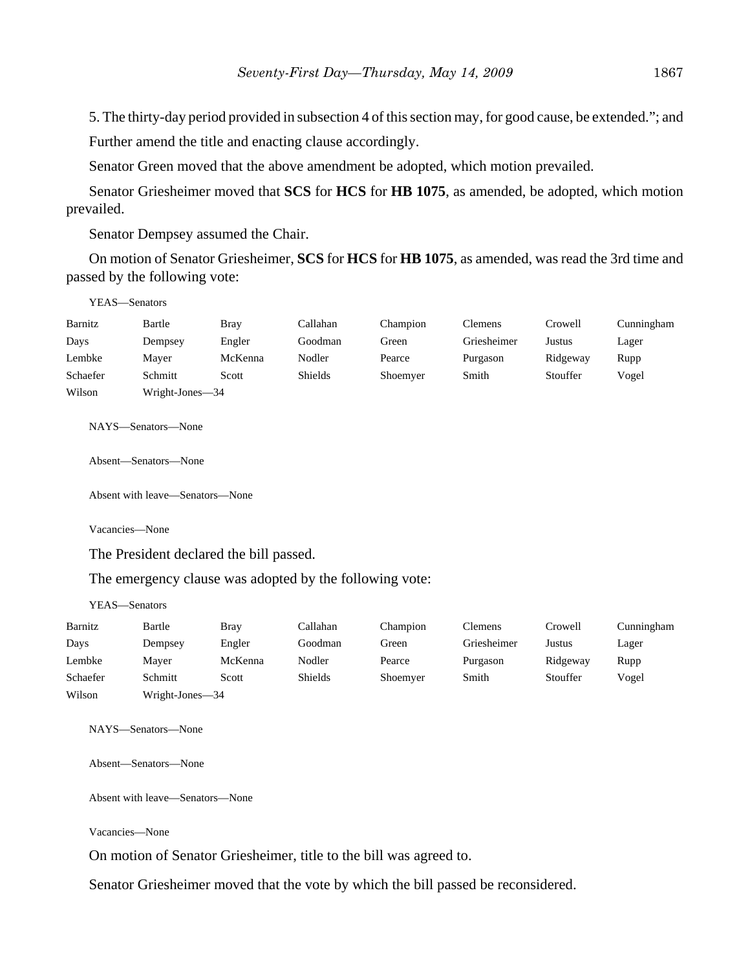5. The thirty-day period provided in subsection 4 of this section may, for good cause, be extended."; and Further amend the title and enacting clause accordingly.

Senator Green moved that the above amendment be adopted, which motion prevailed.

Senator Griesheimer moved that **SCS** for **HCS** for **HB 1075**, as amended, be adopted, which motion prevailed.

Senator Dempsey assumed the Chair.

On motion of Senator Griesheimer, **SCS** for **HCS** for **HB 1075**, as amended, was read the 3rd time and passed by the following vote:

| YEAS—Senators |                 |             |                |          |                |          |            |
|---------------|-----------------|-------------|----------------|----------|----------------|----------|------------|
| Barnitz       | Bartle          | <b>Bray</b> | Callahan       | Champion | <b>Clemens</b> | Crowell  | Cunningham |
| Days          | Dempsey         | Engler      | Goodman        | Green    | Griesheimer    | Justus   | Lager      |
| Lembke        | Mayer           | McKenna     | Nodler         | Pearce   | Purgason       | Ridgeway | Rupp       |
| Schaefer      | Schmitt         | Scott       | <b>Shields</b> | Shoemyer | Smith          | Stouffer | Vogel      |
| Wilson        | Wright-Jones-34 |             |                |          |                |          |            |

NAYS—Senators—None

Absent—Senators—None

Absent with leave—Senators—None

Vacancies—None

The President declared the bill passed.

The emergency clause was adopted by the following vote:

YEAS—Senators

| Barnitz  | Bartle          | Bray    | Callahan | Champion | Clemens     | Crowell  | Cunningham |
|----------|-----------------|---------|----------|----------|-------------|----------|------------|
| Days     | Dempsey         | Engler  | Goodman  | Green    | Griesheimer | Justus   | Lager      |
| Lembke   | Maver           | McKenna | Nodler   | Pearce   | Purgason    | Ridgeway | Rupp       |
| Schaefer | Schmitt         | Scott   | Shields  | Shoemyer | Smith       | Stouffer | Vogel      |
| Wilson   | Wright-Jones-34 |         |          |          |             |          |            |

NAYS—Senators—None

Absent—Senators—None

Absent with leave—Senators—None

Vacancies—None

On motion of Senator Griesheimer, title to the bill was agreed to.

Senator Griesheimer moved that the vote by which the bill passed be reconsidered.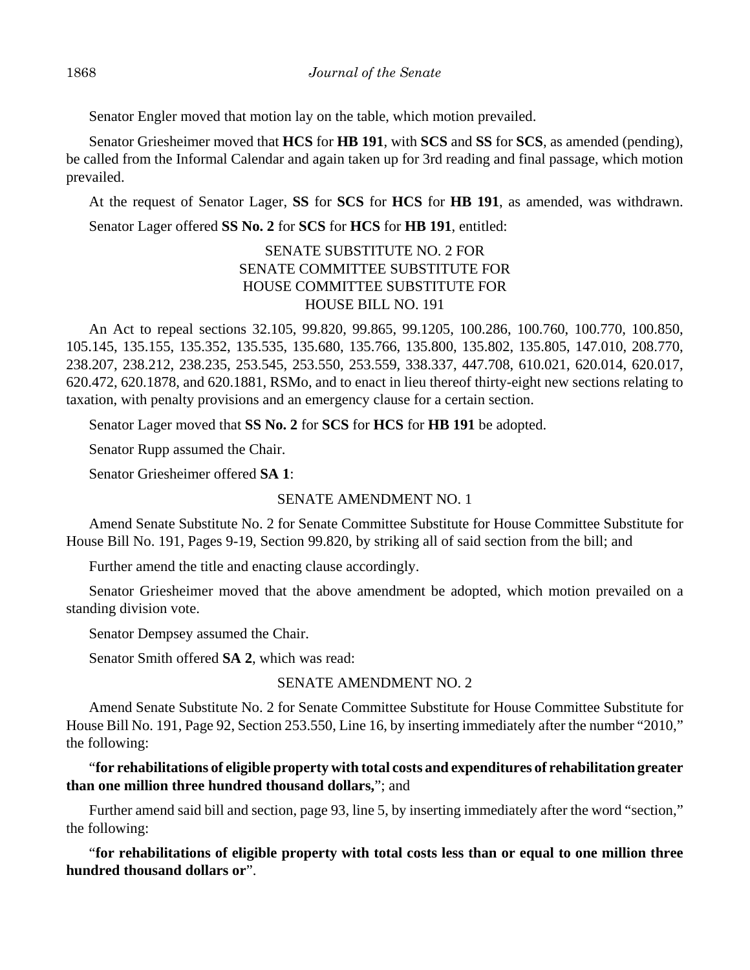Senator Engler moved that motion lay on the table, which motion prevailed.

Senator Griesheimer moved that **HCS** for **HB 191**, with **SCS** and **SS** for **SCS**, as amended (pending), be called from the Informal Calendar and again taken up for 3rd reading and final passage, which motion prevailed.

At the request of Senator Lager, **SS** for **SCS** for **HCS** for **HB 191**, as amended, was withdrawn.

Senator Lager offered **SS No. 2** for **SCS** for **HCS** for **HB 191**, entitled:

# SENATE SUBSTITUTE NO. 2 FOR SENATE COMMITTEE SUBSTITUTE FOR HOUSE COMMITTEE SUBSTITUTE FOR HOUSE BILL NO. 191

An Act to repeal sections 32.105, 99.820, 99.865, 99.1205, 100.286, 100.760, 100.770, 100.850, 105.145, 135.155, 135.352, 135.535, 135.680, 135.766, 135.800, 135.802, 135.805, 147.010, 208.770, 238.207, 238.212, 238.235, 253.545, 253.550, 253.559, 338.337, 447.708, 610.021, 620.014, 620.017, 620.472, 620.1878, and 620.1881, RSMo, and to enact in lieu thereof thirty-eight new sections relating to taxation, with penalty provisions and an emergency clause for a certain section.

Senator Lager moved that **SS No. 2** for **SCS** for **HCS** for **HB 191** be adopted.

Senator Rupp assumed the Chair.

Senator Griesheimer offered **SA 1**:

SENATE AMENDMENT NO. 1

Amend Senate Substitute No. 2 for Senate Committee Substitute for House Committee Substitute for House Bill No. 191, Pages 9-19, Section 99.820, by striking all of said section from the bill; and

Further amend the title and enacting clause accordingly.

Senator Griesheimer moved that the above amendment be adopted, which motion prevailed on a standing division vote.

Senator Dempsey assumed the Chair.

Senator Smith offered **SA 2**, which was read:

## SENATE AMENDMENT NO. 2

Amend Senate Substitute No. 2 for Senate Committee Substitute for House Committee Substitute for House Bill No. 191, Page 92, Section 253.550, Line 16, by inserting immediately after the number "2010," the following:

"**for rehabilitations of eligible property with total costs and expenditures of rehabilitation greater than one million three hundred thousand dollars,**"; and

Further amend said bill and section, page 93, line 5, by inserting immediately after the word "section," the following:

"**for rehabilitations of eligible property with total costs less than or equal to one million three hundred thousand dollars or**".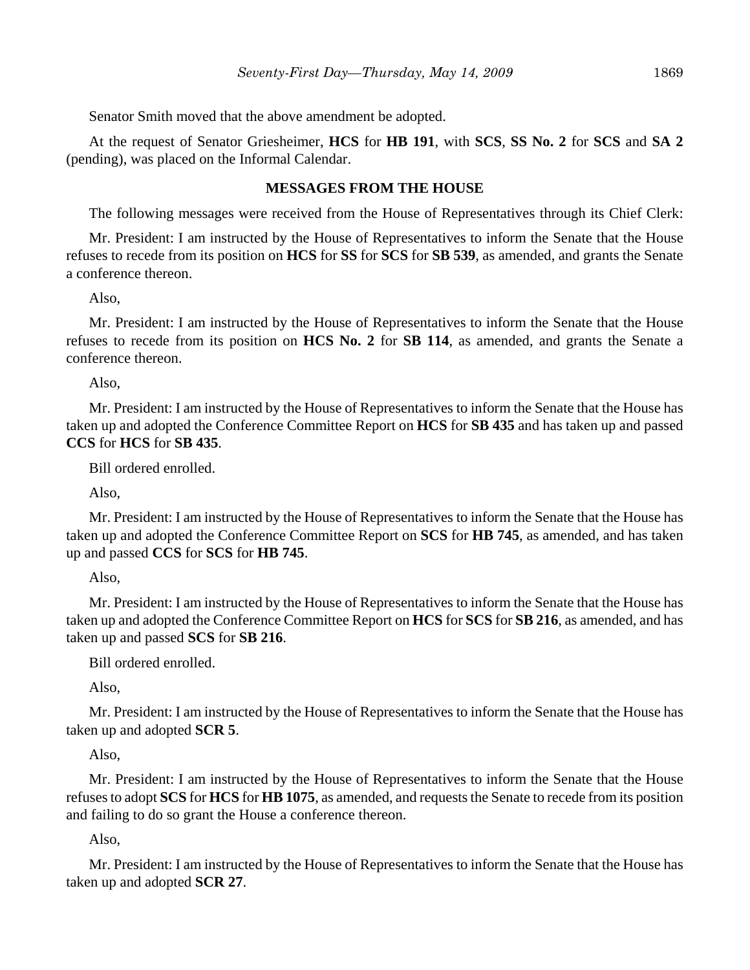Senator Smith moved that the above amendment be adopted.

At the request of Senator Griesheimer, **HCS** for **HB 191**, with **SCS**, **SS No. 2** for **SCS** and **SA 2** (pending), was placed on the Informal Calendar.

# **MESSAGES FROM THE HOUSE**

The following messages were received from the House of Representatives through its Chief Clerk:

Mr. President: I am instructed by the House of Representatives to inform the Senate that the House refuses to recede from its position on **HCS** for **SS** for **SCS** for **SB 539**, as amended, and grants the Senate a conference thereon.

Also,

Mr. President: I am instructed by the House of Representatives to inform the Senate that the House refuses to recede from its position on **HCS No. 2** for **SB 114**, as amended, and grants the Senate a conference thereon.

Also,

Mr. President: I am instructed by the House of Representatives to inform the Senate that the House has taken up and adopted the Conference Committee Report on **HCS** for **SB 435** and has taken up and passed **CCS** for **HCS** for **SB 435**.

Bill ordered enrolled.

Also,

Mr. President: I am instructed by the House of Representatives to inform the Senate that the House has taken up and adopted the Conference Committee Report on **SCS** for **HB 745**, as amended, and has taken up and passed **CCS** for **SCS** for **HB 745**.

Also,

Mr. President: I am instructed by the House of Representatives to inform the Senate that the House has taken up and adopted the Conference Committee Report on **HCS** for **SCS** for **SB 216**, as amended, and has taken up and passed **SCS** for **SB 216**.

Bill ordered enrolled.

Also,

Mr. President: I am instructed by the House of Representatives to inform the Senate that the House has taken up and adopted **SCR 5**.

Also,

Mr. President: I am instructed by the House of Representatives to inform the Senate that the House refuses to adopt **SCS** for **HCS** for **HB 1075**, as amended, and requests the Senate to recede from its position and failing to do so grant the House a conference thereon.

Also,

Mr. President: I am instructed by the House of Representatives to inform the Senate that the House has taken up and adopted **SCR 27**.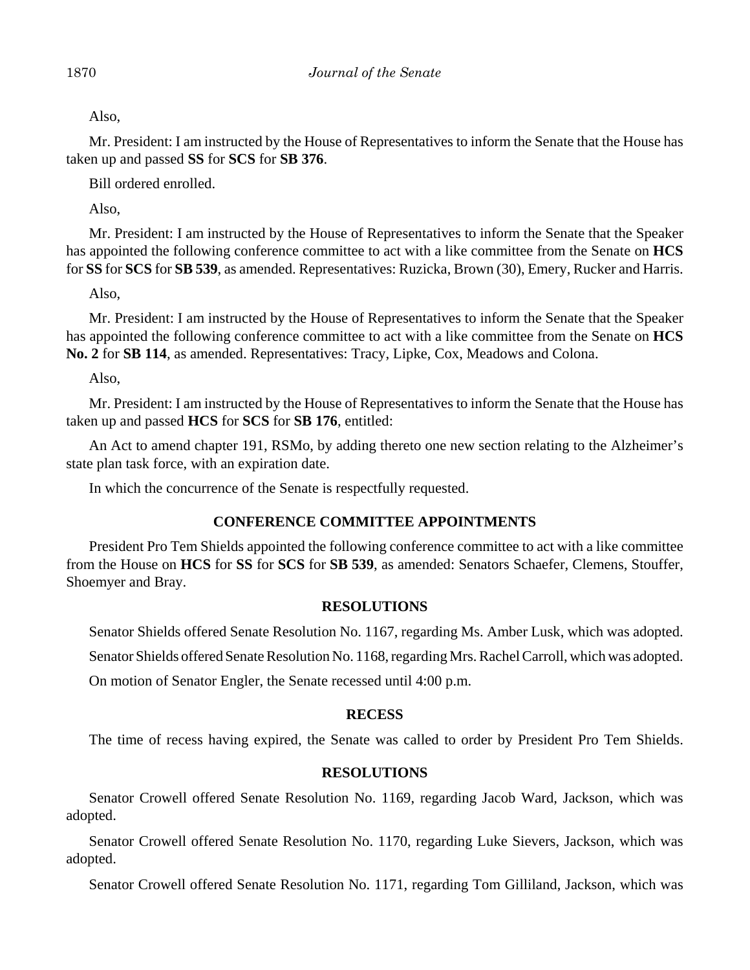Also,

Mr. President: I am instructed by the House of Representatives to inform the Senate that the House has taken up and passed **SS** for **SCS** for **SB 376**.

Bill ordered enrolled.

Also,

Mr. President: I am instructed by the House of Representatives to inform the Senate that the Speaker has appointed the following conference committee to act with a like committee from the Senate on **HCS** for **SS** for **SCS** for **SB 539**, as amended. Representatives: Ruzicka, Brown (30), Emery, Rucker and Harris.

Also,

Mr. President: I am instructed by the House of Representatives to inform the Senate that the Speaker has appointed the following conference committee to act with a like committee from the Senate on **HCS No. 2** for **SB 114**, as amended. Representatives: Tracy, Lipke, Cox, Meadows and Colona.

Also,

Mr. President: I am instructed by the House of Representatives to inform the Senate that the House has taken up and passed **HCS** for **SCS** for **SB 176**, entitled:

An Act to amend chapter 191, RSMo, by adding thereto one new section relating to the Alzheimer's state plan task force, with an expiration date.

In which the concurrence of the Senate is respectfully requested.

## **CONFERENCE COMMITTEE APPOINTMENTS**

President Pro Tem Shields appointed the following conference committee to act with a like committee from the House on **HCS** for **SS** for **SCS** for **SB 539**, as amended: Senators Schaefer, Clemens, Stouffer, Shoemyer and Bray.

#### **RESOLUTIONS**

Senator Shields offered Senate Resolution No. 1167, regarding Ms. Amber Lusk, which was adopted.

Senator Shields offered Senate Resolution No. 1168, regarding Mrs. Rachel Carroll, which was adopted.

On motion of Senator Engler, the Senate recessed until 4:00 p.m.

#### **RECESS**

The time of recess having expired, the Senate was called to order by President Pro Tem Shields.

## **RESOLUTIONS**

Senator Crowell offered Senate Resolution No. 1169, regarding Jacob Ward, Jackson, which was adopted.

Senator Crowell offered Senate Resolution No. 1170, regarding Luke Sievers, Jackson, which was adopted.

Senator Crowell offered Senate Resolution No. 1171, regarding Tom Gilliland, Jackson, which was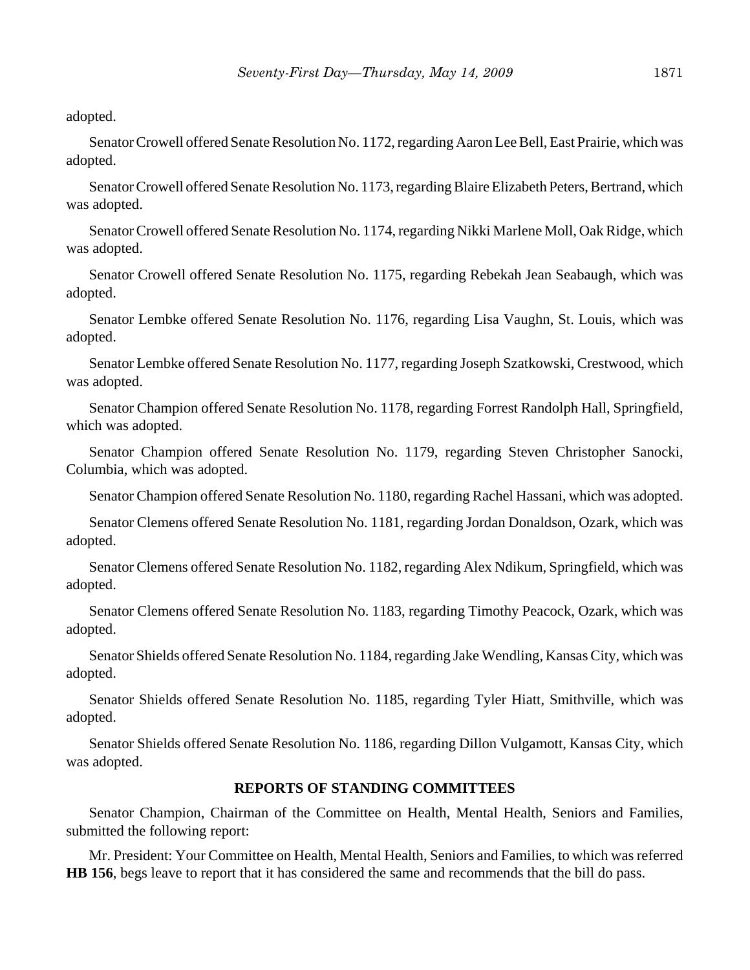adopted.

Senator Crowell offered Senate Resolution No. 1172, regarding Aaron Lee Bell, East Prairie, which was adopted.

Senator Crowell offered Senate Resolution No. 1173, regarding Blaire Elizabeth Peters, Bertrand, which was adopted.

Senator Crowell offered Senate Resolution No. 1174, regarding Nikki Marlene Moll, Oak Ridge, which was adopted.

Senator Crowell offered Senate Resolution No. 1175, regarding Rebekah Jean Seabaugh, which was adopted.

Senator Lembke offered Senate Resolution No. 1176, regarding Lisa Vaughn, St. Louis, which was adopted.

Senator Lembke offered Senate Resolution No. 1177, regarding Joseph Szatkowski, Crestwood, which was adopted.

Senator Champion offered Senate Resolution No. 1178, regarding Forrest Randolph Hall, Springfield, which was adopted.

Senator Champion offered Senate Resolution No. 1179, regarding Steven Christopher Sanocki, Columbia, which was adopted.

Senator Champion offered Senate Resolution No. 1180, regarding Rachel Hassani, which was adopted.

Senator Clemens offered Senate Resolution No. 1181, regarding Jordan Donaldson, Ozark, which was adopted.

Senator Clemens offered Senate Resolution No. 1182, regarding Alex Ndikum, Springfield, which was adopted.

Senator Clemens offered Senate Resolution No. 1183, regarding Timothy Peacock, Ozark, which was adopted.

Senator Shields offered Senate Resolution No. 1184, regarding Jake Wendling, Kansas City, which was adopted.

Senator Shields offered Senate Resolution No. 1185, regarding Tyler Hiatt, Smithville, which was adopted.

Senator Shields offered Senate Resolution No. 1186, regarding Dillon Vulgamott, Kansas City, which was adopted.

## **REPORTS OF STANDING COMMITTEES**

Senator Champion, Chairman of the Committee on Health, Mental Health, Seniors and Families, submitted the following report:

Mr. President: Your Committee on Health, Mental Health, Seniors and Families, to which was referred **HB 156**, begs leave to report that it has considered the same and recommends that the bill do pass.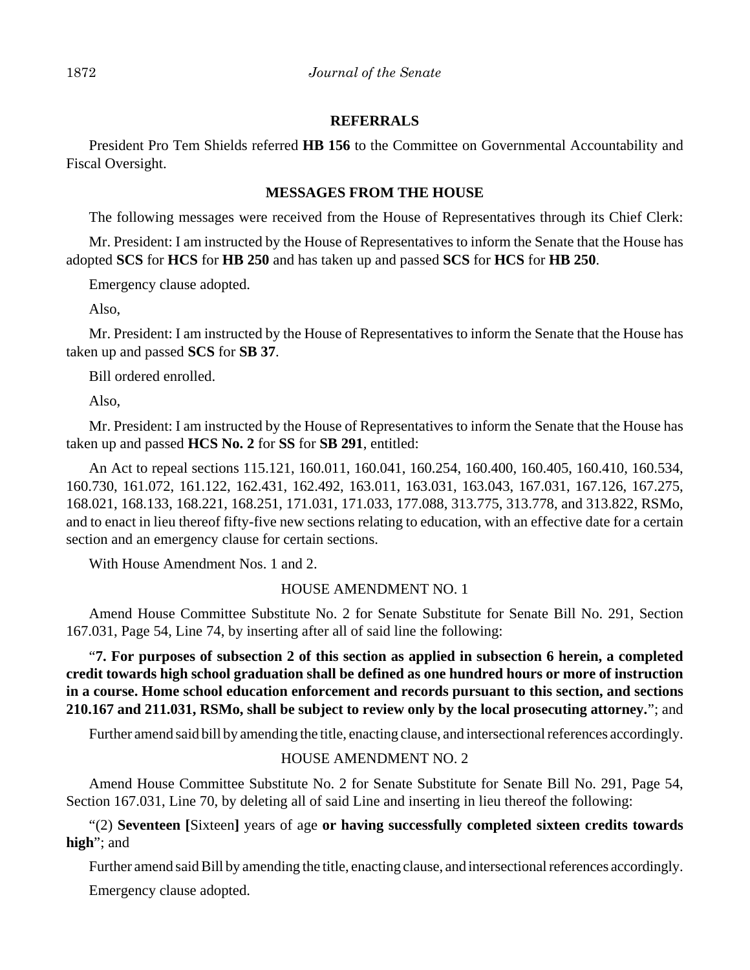# **REFERRALS**

President Pro Tem Shields referred **HB 156** to the Committee on Governmental Accountability and Fiscal Oversight.

# **MESSAGES FROM THE HOUSE**

The following messages were received from the House of Representatives through its Chief Clerk:

Mr. President: I am instructed by the House of Representatives to inform the Senate that the House has adopted **SCS** for **HCS** for **HB 250** and has taken up and passed **SCS** for **HCS** for **HB 250**.

Emergency clause adopted.

Also,

Mr. President: I am instructed by the House of Representatives to inform the Senate that the House has taken up and passed **SCS** for **SB 37**.

Bill ordered enrolled.

Also,

Mr. President: I am instructed by the House of Representatives to inform the Senate that the House has taken up and passed **HCS No. 2** for **SS** for **SB 291**, entitled:

An Act to repeal sections 115.121, 160.011, 160.041, 160.254, 160.400, 160.405, 160.410, 160.534, 160.730, 161.072, 161.122, 162.431, 162.492, 163.011, 163.031, 163.043, 167.031, 167.126, 167.275, 168.021, 168.133, 168.221, 168.251, 171.031, 171.033, 177.088, 313.775, 313.778, and 313.822, RSMo, and to enact in lieu thereof fifty-five new sections relating to education, with an effective date for a certain section and an emergency clause for certain sections.

With House Amendment Nos. 1 and 2.

## HOUSE AMENDMENT NO. 1

Amend House Committee Substitute No. 2 for Senate Substitute for Senate Bill No. 291, Section 167.031, Page 54, Line 74, by inserting after all of said line the following:

"**7. For purposes of subsection 2 of this section as applied in subsection 6 herein, a completed credit towards high school graduation shall be defined as one hundred hours or more of instruction in a course. Home school education enforcement and records pursuant to this section, and sections 210.167 and 211.031, RSMo, shall be subject to review only by the local prosecuting attorney.**"; and

Further amend said bill by amending the title, enacting clause, and intersectional references accordingly.

## HOUSE AMENDMENT NO. 2

Amend House Committee Substitute No. 2 for Senate Substitute for Senate Bill No. 291, Page 54, Section 167.031, Line 70, by deleting all of said Line and inserting in lieu thereof the following:

"(2) **Seventeen [**Sixteen**]** years of age **or having successfully completed sixteen credits towards high**"; and

Further amend said Bill by amending the title, enacting clause, and intersectional references accordingly. Emergency clause adopted.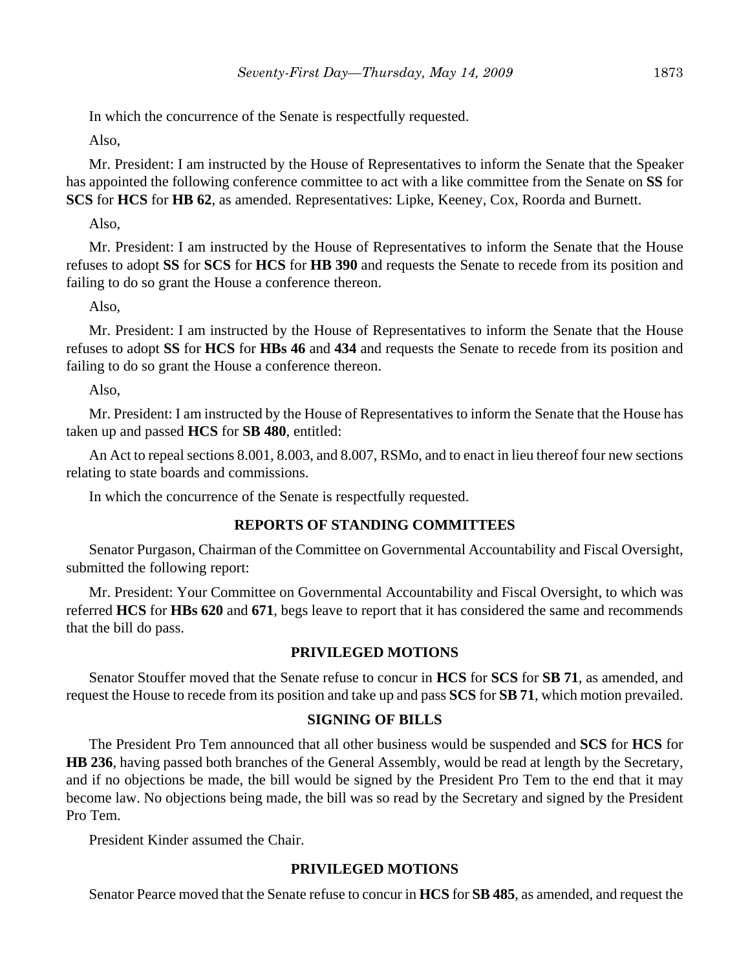In which the concurrence of the Senate is respectfully requested.

Also,

Mr. President: I am instructed by the House of Representatives to inform the Senate that the Speaker has appointed the following conference committee to act with a like committee from the Senate on **SS** for **SCS** for **HCS** for **HB 62**, as amended. Representatives: Lipke, Keeney, Cox, Roorda and Burnett.

Also,

Mr. President: I am instructed by the House of Representatives to inform the Senate that the House refuses to adopt **SS** for **SCS** for **HCS** for **HB 390** and requests the Senate to recede from its position and failing to do so grant the House a conference thereon.

Also,

Mr. President: I am instructed by the House of Representatives to inform the Senate that the House refuses to adopt **SS** for **HCS** for **HBs 46** and **434** and requests the Senate to recede from its position and failing to do so grant the House a conference thereon.

Also,

Mr. President: I am instructed by the House of Representatives to inform the Senate that the House has taken up and passed **HCS** for **SB 480**, entitled:

An Act to repeal sections 8.001, 8.003, and 8.007, RSMo, and to enact in lieu thereof four new sections relating to state boards and commissions.

In which the concurrence of the Senate is respectfully requested.

# **REPORTS OF STANDING COMMITTEES**

Senator Purgason, Chairman of the Committee on Governmental Accountability and Fiscal Oversight, submitted the following report:

Mr. President: Your Committee on Governmental Accountability and Fiscal Oversight, to which was referred **HCS** for **HBs 620** and **671**, begs leave to report that it has considered the same and recommends that the bill do pass.

## **PRIVILEGED MOTIONS**

Senator Stouffer moved that the Senate refuse to concur in **HCS** for **SCS** for **SB 71**, as amended, and request the House to recede from its position and take up and pass **SCS** for **SB 71**, which motion prevailed.

## **SIGNING OF BILLS**

The President Pro Tem announced that all other business would be suspended and **SCS** for **HCS** for **HB 236**, having passed both branches of the General Assembly, would be read at length by the Secretary, and if no objections be made, the bill would be signed by the President Pro Tem to the end that it may become law. No objections being made, the bill was so read by the Secretary and signed by the President Pro Tem.

President Kinder assumed the Chair.

# **PRIVILEGED MOTIONS**

Senator Pearce moved that the Senate refuse to concur in **HCS** for **SB 485**, as amended, and request the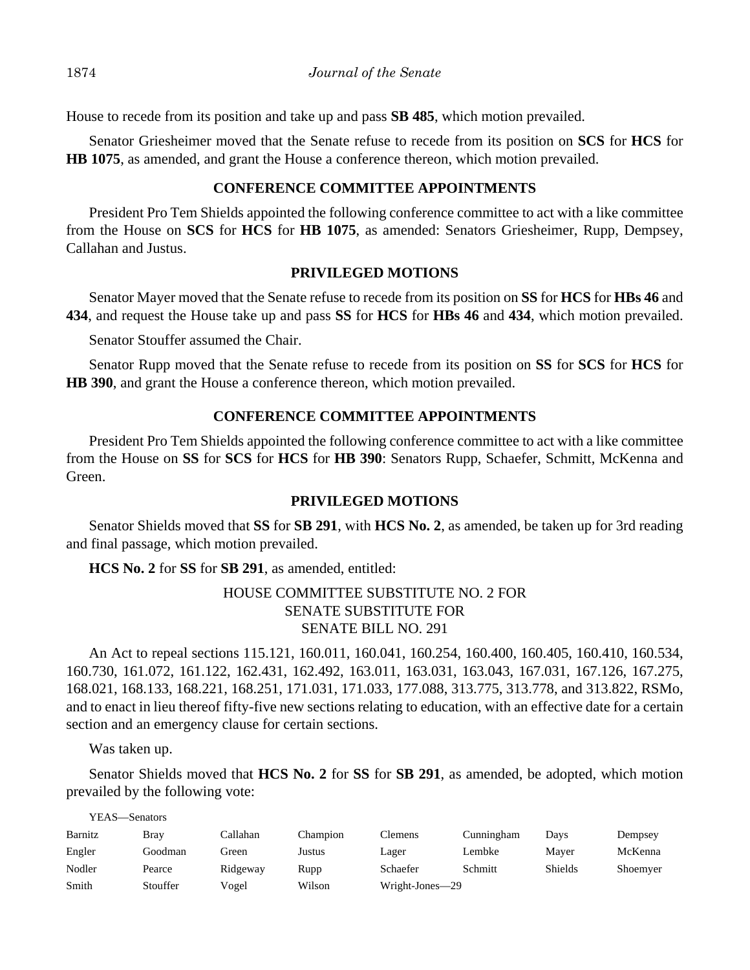House to recede from its position and take up and pass **SB 485**, which motion prevailed.

Senator Griesheimer moved that the Senate refuse to recede from its position on **SCS** for **HCS** for **HB 1075**, as amended, and grant the House a conference thereon, which motion prevailed.

## **CONFERENCE COMMITTEE APPOINTMENTS**

President Pro Tem Shields appointed the following conference committee to act with a like committee from the House on **SCS** for **HCS** for **HB 1075**, as amended: Senators Griesheimer, Rupp, Dempsey, Callahan and Justus.

## **PRIVILEGED MOTIONS**

Senator Mayer moved that the Senate refuse to recede from its position on **SS** for **HCS** for **HBs 46** and **434**, and request the House take up and pass **SS** for **HCS** for **HBs 46** and **434**, which motion prevailed.

Senator Stouffer assumed the Chair.

Senator Rupp moved that the Senate refuse to recede from its position on **SS** for **SCS** for **HCS** for **HB 390**, and grant the House a conference thereon, which motion prevailed.

## **CONFERENCE COMMITTEE APPOINTMENTS**

President Pro Tem Shields appointed the following conference committee to act with a like committee from the House on **SS** for **SCS** for **HCS** for **HB 390**: Senators Rupp, Schaefer, Schmitt, McKenna and Green.

#### **PRIVILEGED MOTIONS**

Senator Shields moved that **SS** for **SB 291**, with **HCS No. 2**, as amended, be taken up for 3rd reading and final passage, which motion prevailed.

**HCS No. 2** for **SS** for **SB 291**, as amended, entitled:

# HOUSE COMMITTEE SUBSTITUTE NO. 2 FOR SENATE SUBSTITUTE FOR SENATE BILL NO. 291

An Act to repeal sections 115.121, 160.011, 160.041, 160.254, 160.400, 160.405, 160.410, 160.534, 160.730, 161.072, 161.122, 162.431, 162.492, 163.011, 163.031, 163.043, 167.031, 167.126, 167.275, 168.021, 168.133, 168.221, 168.251, 171.031, 171.033, 177.088, 313.775, 313.778, and 313.822, RSMo, and to enact in lieu thereof fifty-five new sections relating to education, with an effective date for a certain section and an emergency clause for certain sections.

Was taken up.

Senator Shields moved that **HCS No. 2** for **SS** for **SB 291**, as amended, be adopted, which motion prevailed by the following vote:

| YEAS—Senators |             |          |          |                 |            |         |          |
|---------------|-------------|----------|----------|-----------------|------------|---------|----------|
| Barnitz       | <b>Bray</b> | Callahan | Champion | Clemens         | Cunningham | Days    | Dempsey  |
| Engler        | Goodman     | Green    | Justus   | Lager           | Lembke     | Maver   | McKenna  |
| Nodler        | Pearce      | Ridgeway | Rupp     | Schaefer        | Schmitt    | Shields | Shoemyer |
| Smith         | Stouffer    | Vogel    | Wilson   | Wright-Jones-29 |            |         |          |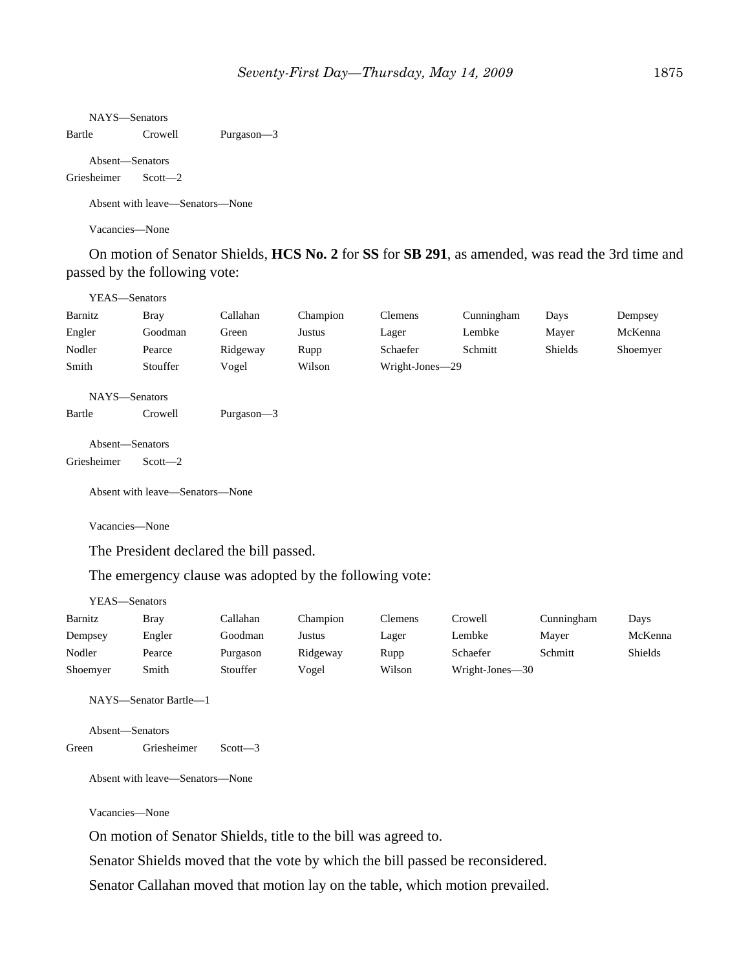NAYS—Senators

Bartle Crowell Purgason—3

Absent—Senators

Griesheimer Scott—2

Absent with leave—Senators—None

Vacancies—None

On motion of Senator Shields, **HCS No. 2** for **SS** for **SB 291**, as amended, was read the 3rd time and passed by the following vote:

| YEAS—Senators           |             |               |          |                 |            |                |          |
|-------------------------|-------------|---------------|----------|-----------------|------------|----------------|----------|
| Barnitz                 | <b>Bray</b> | Callahan      | Champion | <b>Clemens</b>  | Cunningham | Days           | Dempsey  |
| Engler                  | Goodman     | Green         | Justus   | Lager           | Lembke     | Mayer          | McKenna  |
| Nodler                  | Pearce      | Ridgeway      | Rupp     | Schaefer        | Schmitt    | <b>Shields</b> | Shoemyer |
| Smith                   | Stouffer    | Vogel         | Wilson   | Wright-Jones-29 |            |                |          |
| NAYS-Senators<br>Bartle | Crowell     | Purgason $-3$ |          |                 |            |                |          |

Absent—Senators Griesheimer Scott—2

Absent with leave—Senators—None

Vacancies—None

The President declared the bill passed.

The emergency clause was adopted by the following vote:

| YEAS—Senators |             |          |          |                |                 |            |                |
|---------------|-------------|----------|----------|----------------|-----------------|------------|----------------|
| Barnitz       | <b>Bray</b> | Callahan | Champion | <b>Clemens</b> | Crowell         | Cunningham | Days           |
| Dempsey       | Engler      | Goodman  | Justus   | Lager          | Lembke          | Mayer      | McKenna        |
| Nodler        | Pearce      | Purgason | Ridgeway | Rupp           | Schaefer        | Schmitt    | <b>Shields</b> |
| Shoemyer      | Smith       | Stouffer | Vogel    | Wilson         | Wright-Jones-30 |            |                |

NAYS—Senator Bartle—1

```
Absent—Senators
Green Griesheimer Scott—3
```
Absent with leave—Senators—None

Vacancies—None

On motion of Senator Shields, title to the bill was agreed to.

Senator Shields moved that the vote by which the bill passed be reconsidered.

Senator Callahan moved that motion lay on the table, which motion prevailed.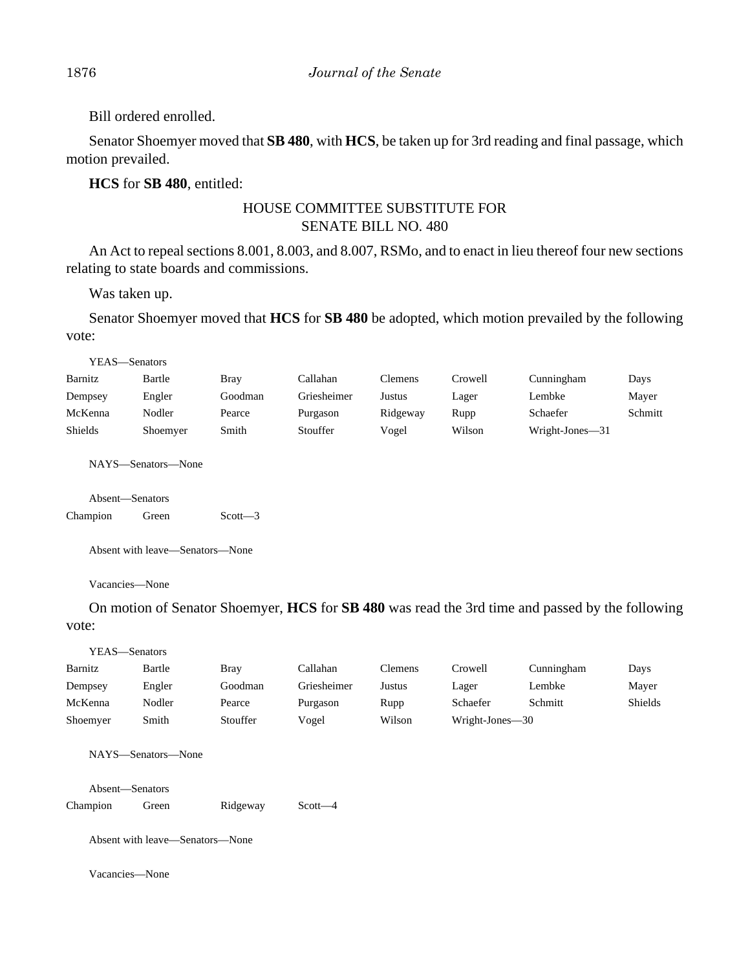Bill ordered enrolled.

Senator Shoemyer moved that **SB 480**, with **HCS**, be taken up for 3rd reading and final passage, which motion prevailed.

## **HCS** for **SB 480**, entitled:

# HOUSE COMMITTEE SUBSTITUTE FOR SENATE BILL NO. 480

An Act to repeal sections 8.001, 8.003, and 8.007, RSMo, and to enact in lieu thereof four new sections relating to state boards and commissions.

Was taken up.

Senator Shoemyer moved that **HCS** for **SB 480** be adopted, which motion prevailed by the following vote:

YEAS—Senators

| Barnitz | Bartle   | Bray    | Callahan    | Clemens  | Crowell | Cunningham      | Days    |
|---------|----------|---------|-------------|----------|---------|-----------------|---------|
| Dempsey | Engler   | Goodman | Griesheimer | Justus   | Lager   | Lembke          | Mayer   |
| McKenna | Nodler   | Pearce  | Purgason    | Ridgeway | Rupp    | Schaefer        | Schmitt |
| Shields | Shoemyer | Smith   | Stouffer    | Vogel    | Wilson  | Wright-Jones—31 |         |

NAYS—Senators—None

|          | Absent—Senators |             |
|----------|-----------------|-------------|
| Champion | Green           | $Scott - 3$ |

Absent with leave—Senators—None

Vacancies—None

On motion of Senator Shoemyer, **HCS** for **SB 480** was read the 3rd time and passed by the following vote:

| Cunningham<br>Days<br>Lembke<br>Mayer<br>Shields<br>Schmitt |
|-------------------------------------------------------------|
|                                                             |
|                                                             |
|                                                             |
|                                                             |
|                                                             |
|                                                             |
|                                                             |
|                                                             |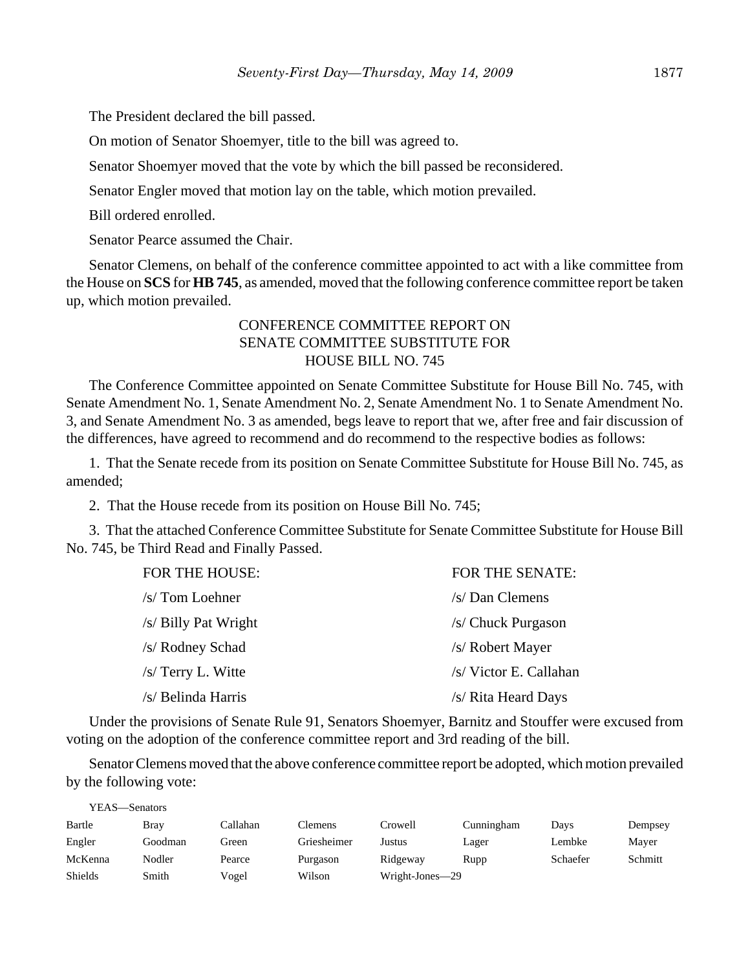The President declared the bill passed.

On motion of Senator Shoemyer, title to the bill was agreed to.

Senator Shoemyer moved that the vote by which the bill passed be reconsidered.

Senator Engler moved that motion lay on the table, which motion prevailed.

Bill ordered enrolled.

Senator Pearce assumed the Chair.

Senator Clemens, on behalf of the conference committee appointed to act with a like committee from the House on **SCS** for **HB 745**, as amended, moved that the following conference committee report be taken up, which motion prevailed.

# CONFERENCE COMMITTEE REPORT ON SENATE COMMITTEE SUBSTITUTE FOR HOUSE BILL NO. 745

The Conference Committee appointed on Senate Committee Substitute for House Bill No. 745, with Senate Amendment No. 1, Senate Amendment No. 2, Senate Amendment No. 1 to Senate Amendment No. 3, and Senate Amendment No. 3 as amended, begs leave to report that we, after free and fair discussion of the differences, have agreed to recommend and do recommend to the respective bodies as follows:

1. That the Senate recede from its position on Senate Committee Substitute for House Bill No. 745, as amended;

2. That the House recede from its position on House Bill No. 745;

3. That the attached Conference Committee Substitute for Senate Committee Substitute for House Bill No. 745, be Third Read and Finally Passed.

| <b>FOR THE SENATE:</b> |
|------------------------|
| /s/ Dan Clemens        |
| /s/ Chuck Purgason     |
| /s/ Robert Mayer       |
| /s/ Victor E. Callahan |
| /s/ Rita Heard Days    |
|                        |

Under the provisions of Senate Rule 91, Senators Shoemyer, Barnitz and Stouffer were excused from voting on the adoption of the conference committee report and 3rd reading of the bill.

Senator Clemens moved that the above conference committee report be adopted, which motion prevailed by the following vote:

| YEAS—Senators |         |          |             |                 |            |          |         |
|---------------|---------|----------|-------------|-----------------|------------|----------|---------|
| Bartle        | Brav    | Callahan | Clemens     | Crowell         | Cunningham | Days     | Dempsey |
| Engler        | Goodman | Green    | Griesheimer | Justus          | Lager      | Lembke   | Mayer   |
| McKenna       | Nodler  | Pearce   | Purgason    | Ridgeway        | Rupp       | Schaefer | Schmitt |
| Shields       | Smith   | Vogel    | Wilson      | Wright-Jones-29 |            |          |         |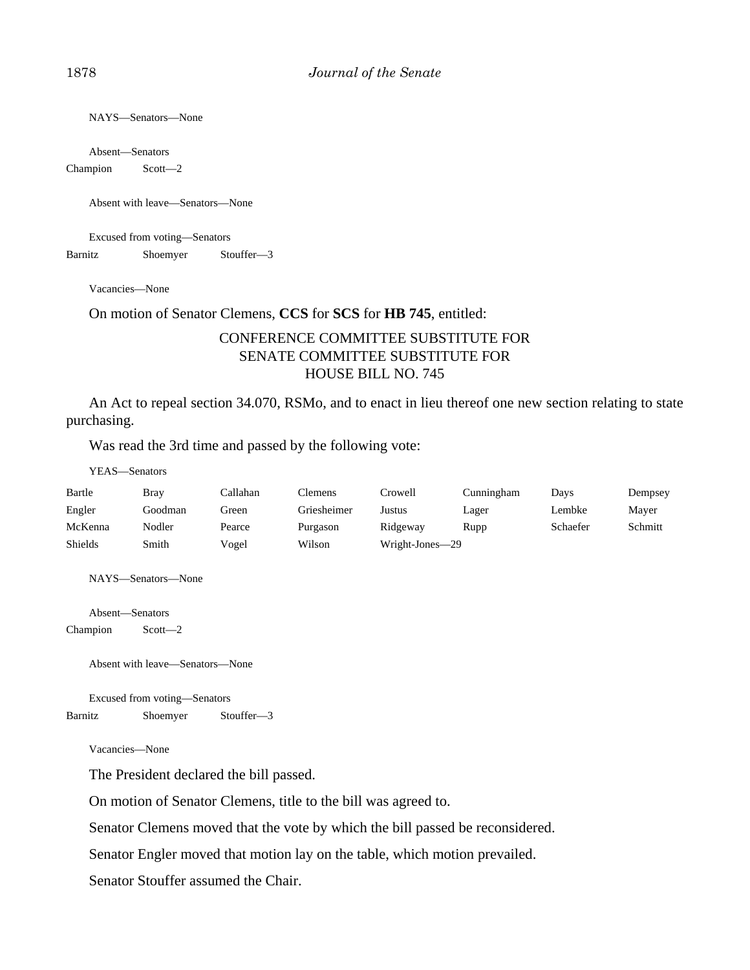NAYS—Senators—None

Absent—Senators

Champion Scott—2

Absent with leave—Senators—None

Excused from voting—Senators

Barnitz Shoemyer Stouffer—3

Vacancies—None

#### On motion of Senator Clemens, **CCS** for **SCS** for **HB 745**, entitled:

# CONFERENCE COMMITTEE SUBSTITUTE FOR SENATE COMMITTEE SUBSTITUTE FOR HOUSE BILL NO. 745

An Act to repeal section 34.070, RSMo, and to enact in lieu thereof one new section relating to state purchasing.

Was read the 3rd time and passed by the following vote:

YEAS—Senators

| Bartle  | Bray    | ∑allahan. | Clemens     | Crowell         | Cunningham | Davs     | Dempsey |
|---------|---------|-----------|-------------|-----------------|------------|----------|---------|
| Engler  | Goodman | Green     | Griesheimer | Justus          | Lager      | Lembke   | Mayer   |
| McKenna | Nodler  | Pearce    | Purgason    | Ridgeway        | Rupp       | Schaefer | Schmitt |
| Shields | Smith   | Vogel     | Wilson      | Wright-Jones—29 |            |          |         |

NAYS—Senators—None

Absent—Senators Champion Scott—2

Absent with leave—Senators—None

Excused from voting—Senators Barnitz Shoemyer Stouffer—3

Vacancies—None

The President declared the bill passed.

On motion of Senator Clemens, title to the bill was agreed to.

Senator Clemens moved that the vote by which the bill passed be reconsidered.

Senator Engler moved that motion lay on the table, which motion prevailed.

Senator Stouffer assumed the Chair.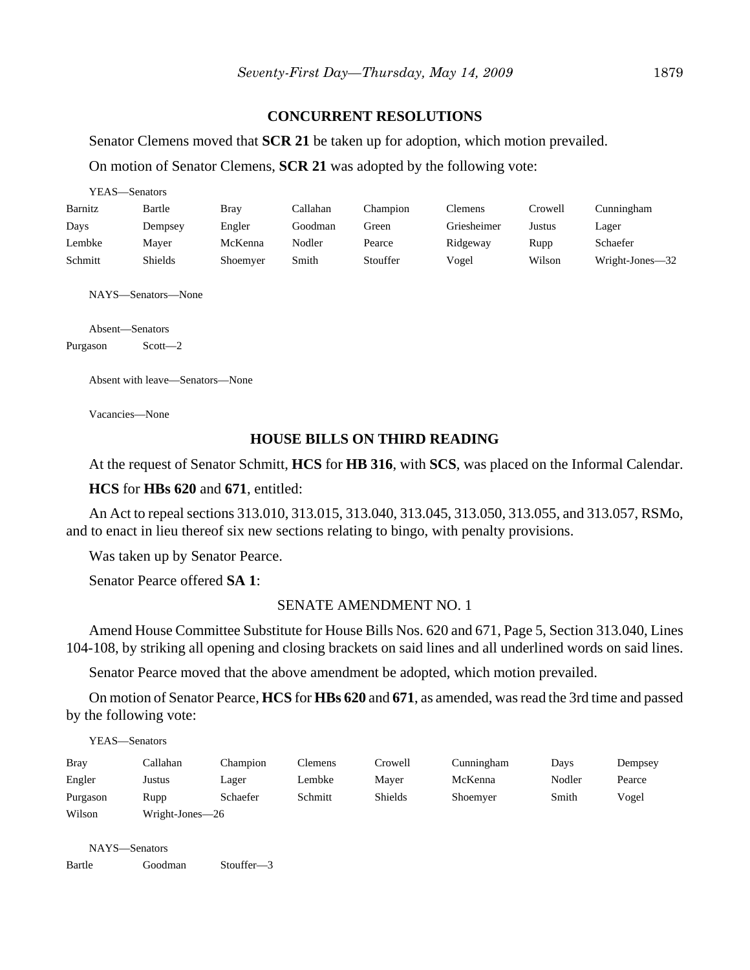## **CONCURRENT RESOLUTIONS**

Senator Clemens moved that **SCR 21** be taken up for adoption, which motion prevailed.

On motion of Senator Clemens, **SCR 21** was adopted by the following vote:

| YEAS—Senators |          |          |          |             |         |                 |  |  |
|---------------|----------|----------|----------|-------------|---------|-----------------|--|--|
| Bartle        | Bray     | Callahan | Champion | Clemens     | Crowell | Cunningham      |  |  |
| Dempsey       | Engler   | Goodman  | Green    | Griesheimer | Justus  | Lager           |  |  |
| Maver         | McKenna  | Nodler   | Pearce   | Ridgeway    | Rupp    | Schaefer        |  |  |
| Shields       | Shoemyer | Smith    | Stouffer | Vogel       | Wilson  | Wright-Jones-32 |  |  |
|               |          |          |          |             |         |                 |  |  |

NAYS—Senators—None

Absent—Senators

Purgason Scott—2

Absent with leave—Senators—None

Vacancies—None

## **HOUSE BILLS ON THIRD READING**

At the request of Senator Schmitt, **HCS** for **HB 316**, with **SCS**, was placed on the Informal Calendar.

#### **HCS** for **HBs 620** and **671**, entitled:

An Act to repeal sections 313.010, 313.015, 313.040, 313.045, 313.050, 313.055, and 313.057, RSMo, and to enact in lieu thereof six new sections relating to bingo, with penalty provisions.

Was taken up by Senator Pearce.

Senator Pearce offered **SA 1**:

#### SENATE AMENDMENT NO. 1

Amend House Committee Substitute for House Bills Nos. 620 and 671, Page 5, Section 313.040, Lines 104-108, by striking all opening and closing brackets on said lines and all underlined words on said lines.

Senator Pearce moved that the above amendment be adopted, which motion prevailed.

On motion of Senator Pearce, **HCS** for **HBs 620** and **671**, as amended, was read the 3rd time and passed by the following vote:

YEAS—Senators

| <b>Bray</b> | Callahan        | Champion | Clemens | Crowell | Cunningham | Davs   | Dempsey |  |
|-------------|-----------------|----------|---------|---------|------------|--------|---------|--|
| Engler      | Justus          | Lager    | Lembke  | Maver   | McKenna    | Nodler | Pearce  |  |
| Purgason    | Rupp            | Schaefer | Schmitt | Shields | Shoemver   | Smith  | Vogel   |  |
| Wilson      | Wright-Jones—26 |          |         |         |            |        |         |  |

NAYS—Senators

Bartle Goodman Stouffer—3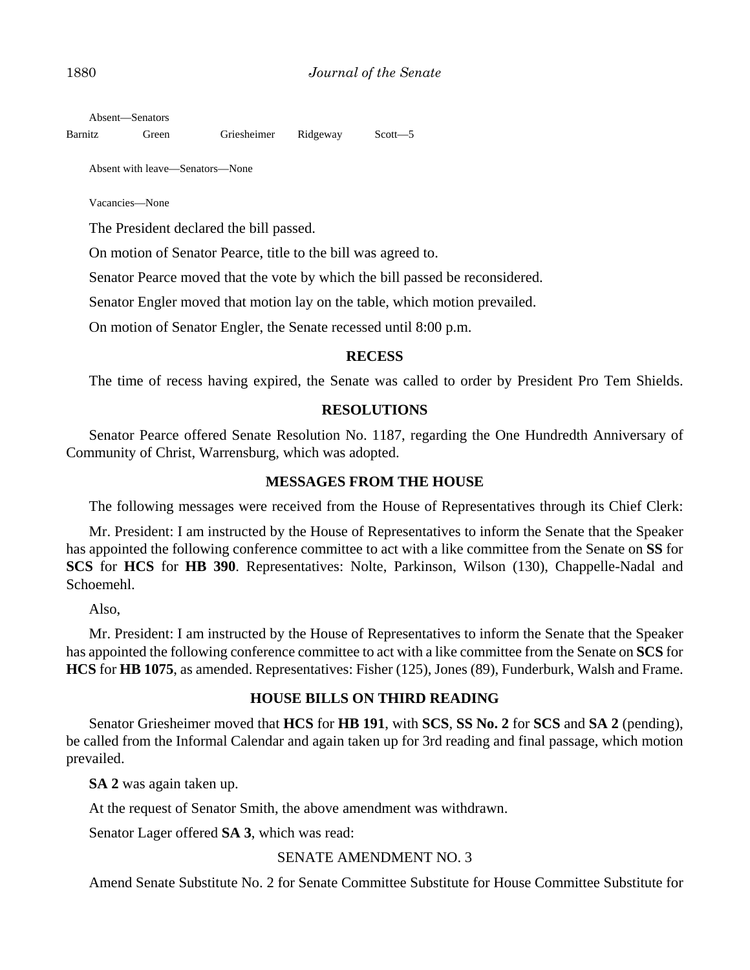Absent—Senators

Barnitz Green Griesheimer Ridgeway Scott—5

Absent with leave—Senators—None

Vacancies—None

The President declared the bill passed.

On motion of Senator Pearce, title to the bill was agreed to.

Senator Pearce moved that the vote by which the bill passed be reconsidered.

Senator Engler moved that motion lay on the table, which motion prevailed.

On motion of Senator Engler, the Senate recessed until 8:00 p.m.

#### **RECESS**

The time of recess having expired, the Senate was called to order by President Pro Tem Shields.

## **RESOLUTIONS**

Senator Pearce offered Senate Resolution No. 1187, regarding the One Hundredth Anniversary of Community of Christ, Warrensburg, which was adopted.

## **MESSAGES FROM THE HOUSE**

The following messages were received from the House of Representatives through its Chief Clerk:

Mr. President: I am instructed by the House of Representatives to inform the Senate that the Speaker has appointed the following conference committee to act with a like committee from the Senate on **SS** for **SCS** for **HCS** for **HB 390**. Representatives: Nolte, Parkinson, Wilson (130), Chappelle-Nadal and Schoemehl.

Also,

Mr. President: I am instructed by the House of Representatives to inform the Senate that the Speaker has appointed the following conference committee to act with a like committee from the Senate on **SCS** for **HCS** for **HB 1075**, as amended. Representatives: Fisher (125), Jones (89), Funderburk, Walsh and Frame.

## **HOUSE BILLS ON THIRD READING**

Senator Griesheimer moved that **HCS** for **HB 191**, with **SCS**, **SS No. 2** for **SCS** and **SA 2** (pending), be called from the Informal Calendar and again taken up for 3rd reading and final passage, which motion prevailed.

**SA 2** was again taken up.

At the request of Senator Smith, the above amendment was withdrawn.

Senator Lager offered **SA 3**, which was read:

## SENATE AMENDMENT NO. 3

Amend Senate Substitute No. 2 for Senate Committee Substitute for House Committee Substitute for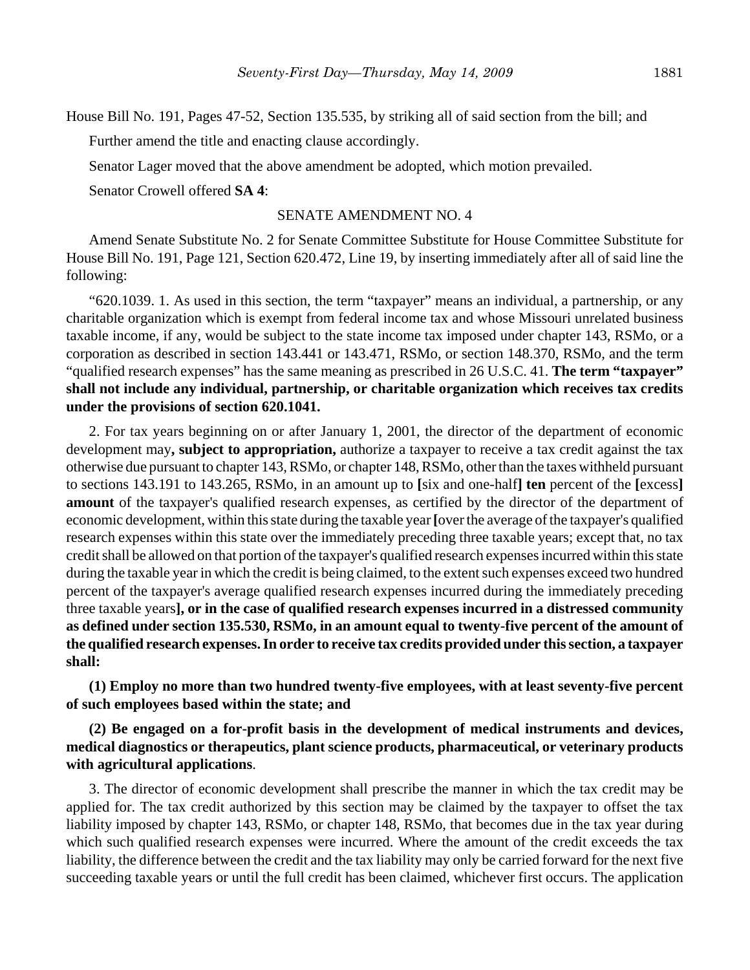House Bill No. 191, Pages 47-52, Section 135.535, by striking all of said section from the bill; and

Further amend the title and enacting clause accordingly.

Senator Lager moved that the above amendment be adopted, which motion prevailed.

Senator Crowell offered **SA 4**:

## SENATE AMENDMENT NO. 4

Amend Senate Substitute No. 2 for Senate Committee Substitute for House Committee Substitute for House Bill No. 191, Page 121, Section 620.472, Line 19, by inserting immediately after all of said line the following:

"620.1039. 1. As used in this section, the term "taxpayer" means an individual, a partnership, or any charitable organization which is exempt from federal income tax and whose Missouri unrelated business taxable income, if any, would be subject to the state income tax imposed under chapter 143, RSMo, or a corporation as described in section 143.441 or 143.471, RSMo, or section 148.370, RSMo, and the term "qualified research expenses" has the same meaning as prescribed in 26 U.S.C. 41. **The term "taxpayer" shall not include any individual, partnership, or charitable organization which receives tax credits under the provisions of section 620.1041.**

2. For tax years beginning on or after January 1, 2001, the director of the department of economic development may**, subject to appropriation,** authorize a taxpayer to receive a tax credit against the tax otherwise due pursuant to chapter 143, RSMo, or chapter 148, RSMo, other than the taxes withheld pursuant to sections 143.191 to 143.265, RSMo, in an amount up to **[**six and one-half**] ten** percent of the **[**excess**] amount** of the taxpayer's qualified research expenses, as certified by the director of the department of economic development, within this state during the taxable year **[**over the average of the taxpayer's qualified research expenses within this state over the immediately preceding three taxable years; except that, no tax credit shall be allowed on that portion of the taxpayer's qualified research expenses incurred within this state during the taxable year in which the credit is being claimed, to the extent such expenses exceed two hundred percent of the taxpayer's average qualified research expenses incurred during the immediately preceding three taxable years**], or in the case of qualified research expenses incurred in a distressed community as defined under section 135.530, RSMo, in an amount equal to twenty-five percent of the amount of the qualified research expenses. In order to receive tax credits provided under this section, a taxpayer shall:**

**(1) Employ no more than two hundred twenty-five employees, with at least seventy-five percent of such employees based within the state; and**

# **(2) Be engaged on a for-profit basis in the development of medical instruments and devices, medical diagnostics or therapeutics, plant science products, pharmaceutical, or veterinary products with agricultural applications**.

3. The director of economic development shall prescribe the manner in which the tax credit may be applied for. The tax credit authorized by this section may be claimed by the taxpayer to offset the tax liability imposed by chapter 143, RSMo, or chapter 148, RSMo, that becomes due in the tax year during which such qualified research expenses were incurred. Where the amount of the credit exceeds the tax liability, the difference between the credit and the tax liability may only be carried forward for the next five succeeding taxable years or until the full credit has been claimed, whichever first occurs. The application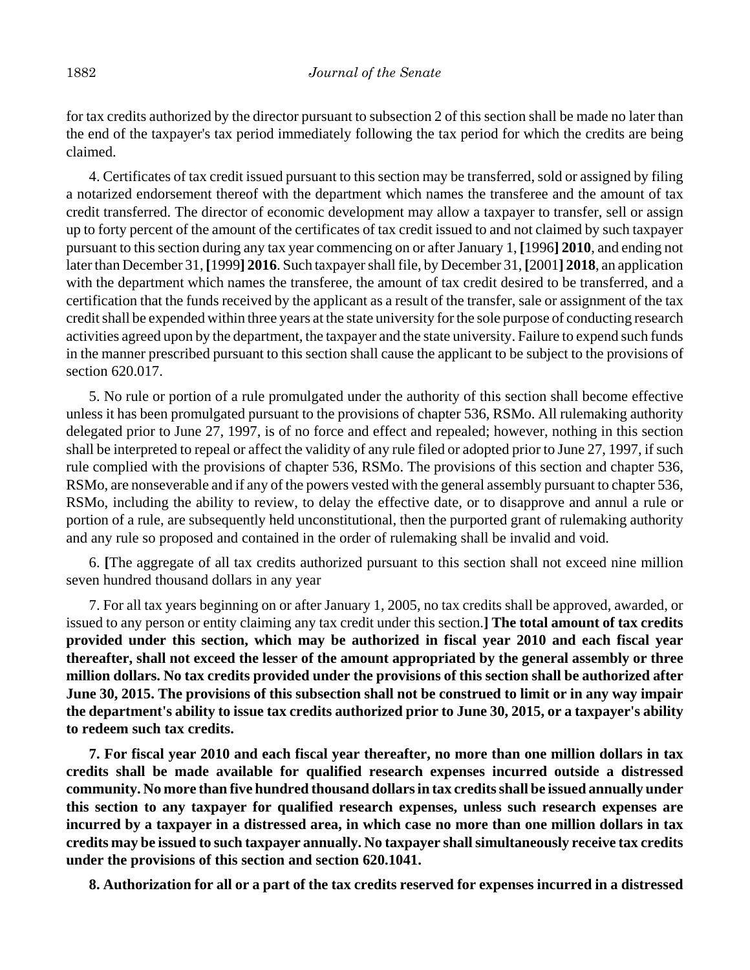for tax credits authorized by the director pursuant to subsection 2 of this section shall be made no later than the end of the taxpayer's tax period immediately following the tax period for which the credits are being claimed.

4. Certificates of tax credit issued pursuant to this section may be transferred, sold or assigned by filing a notarized endorsement thereof with the department which names the transferee and the amount of tax credit transferred. The director of economic development may allow a taxpayer to transfer, sell or assign up to forty percent of the amount of the certificates of tax credit issued to and not claimed by such taxpayer pursuant to this section during any tax year commencing on or after January 1, **[**1996**] 2010**, and ending not later than December 31, **[**1999**] 2016**. Such taxpayer shall file, by December 31, **[**2001**] 2018**, an application with the department which names the transferee, the amount of tax credit desired to be transferred, and a certification that the funds received by the applicant as a result of the transfer, sale or assignment of the tax credit shall be expended within three years at the state university for the sole purpose of conducting research activities agreed upon by the department, the taxpayer and the state university. Failure to expend such funds in the manner prescribed pursuant to this section shall cause the applicant to be subject to the provisions of section 620.017.

5. No rule or portion of a rule promulgated under the authority of this section shall become effective unless it has been promulgated pursuant to the provisions of chapter 536, RSMo. All rulemaking authority delegated prior to June 27, 1997, is of no force and effect and repealed; however, nothing in this section shall be interpreted to repeal or affect the validity of any rule filed or adopted prior to June 27, 1997, if such rule complied with the provisions of chapter 536, RSMo. The provisions of this section and chapter 536, RSMo, are nonseverable and if any of the powers vested with the general assembly pursuant to chapter 536, RSMo, including the ability to review, to delay the effective date, or to disapprove and annul a rule or portion of a rule, are subsequently held unconstitutional, then the purported grant of rulemaking authority and any rule so proposed and contained in the order of rulemaking shall be invalid and void.

6. **[**The aggregate of all tax credits authorized pursuant to this section shall not exceed nine million seven hundred thousand dollars in any year

7. For all tax years beginning on or after January 1, 2005, no tax credits shall be approved, awarded, or issued to any person or entity claiming any tax credit under this section.**] The total amount of tax credits provided under this section, which may be authorized in fiscal year 2010 and each fiscal year thereafter, shall not exceed the lesser of the amount appropriated by the general assembly or three million dollars. No tax credits provided under the provisions of this section shall be authorized after June 30, 2015. The provisions of this subsection shall not be construed to limit or in any way impair the department's ability to issue tax credits authorized prior to June 30, 2015, or a taxpayer's ability to redeem such tax credits.**

**7. For fiscal year 2010 and each fiscal year thereafter, no more than one million dollars in tax credits shall be made available for qualified research expenses incurred outside a distressed community. No more than five hundred thousand dollars in tax credits shall be issued annually under this section to any taxpayer for qualified research expenses, unless such research expenses are incurred by a taxpayer in a distressed area, in which case no more than one million dollars in tax credits may be issued to such taxpayer annually. No taxpayer shall simultaneously receive tax credits under the provisions of this section and section 620.1041.**

**8. Authorization for all or a part of the tax credits reserved for expenses incurred in a distressed**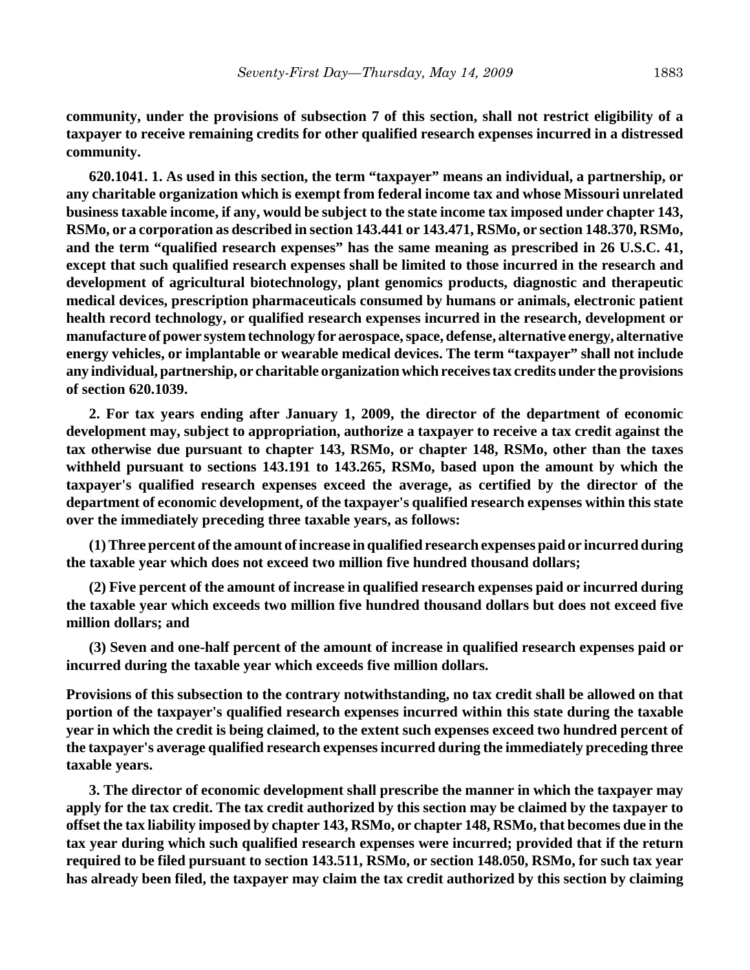**community, under the provisions of subsection 7 of this section, shall not restrict eligibility of a taxpayer to receive remaining credits for other qualified research expenses incurred in a distressed community.**

**620.1041. 1. As used in this section, the term "taxpayer" means an individual, a partnership, or any charitable organization which is exempt from federal income tax and whose Missouri unrelated business taxable income, if any, would be subject to the state income tax imposed under chapter 143, RSMo, or a corporation as described in section 143.441 or 143.471, RSMo, or section 148.370, RSMo, and the term "qualified research expenses" has the same meaning as prescribed in 26 U.S.C. 41, except that such qualified research expenses shall be limited to those incurred in the research and development of agricultural biotechnology, plant genomics products, diagnostic and therapeutic medical devices, prescription pharmaceuticals consumed by humans or animals, electronic patient health record technology, or qualified research expenses incurred in the research, development or manufacture of power system technology for aerospace, space, defense, alternative energy, alternative energy vehicles, or implantable or wearable medical devices. The term "taxpayer" shall not include any individual, partnership, or charitable organization which receives tax credits under the provisions of section 620.1039.**

**2. For tax years ending after January 1, 2009, the director of the department of economic development may, subject to appropriation, authorize a taxpayer to receive a tax credit against the tax otherwise due pursuant to chapter 143, RSMo, or chapter 148, RSMo, other than the taxes withheld pursuant to sections 143.191 to 143.265, RSMo, based upon the amount by which the taxpayer's qualified research expenses exceed the average, as certified by the director of the department of economic development, of the taxpayer's qualified research expenses within this state over the immediately preceding three taxable years, as follows:**

**(1) Three percent of the amount of increase in qualified research expenses paid or incurred during the taxable year which does not exceed two million five hundred thousand dollars;**

**(2) Five percent of the amount of increase in qualified research expenses paid or incurred during the taxable year which exceeds two million five hundred thousand dollars but does not exceed five million dollars; and**

**(3) Seven and one-half percent of the amount of increase in qualified research expenses paid or incurred during the taxable year which exceeds five million dollars.**

**Provisions of this subsection to the contrary notwithstanding, no tax credit shall be allowed on that portion of the taxpayer's qualified research expenses incurred within this state during the taxable year in which the credit is being claimed, to the extent such expenses exceed two hundred percent of the taxpayer's average qualified research expenses incurred during the immediately preceding three taxable years.**

**3. The director of economic development shall prescribe the manner in which the taxpayer may apply for the tax credit. The tax credit authorized by this section may be claimed by the taxpayer to offset the tax liability imposed by chapter 143, RSMo, or chapter 148, RSMo, that becomes due in the tax year during which such qualified research expenses were incurred; provided that if the return required to be filed pursuant to section 143.511, RSMo, or section 148.050, RSMo, for such tax year has already been filed, the taxpayer may claim the tax credit authorized by this section by claiming**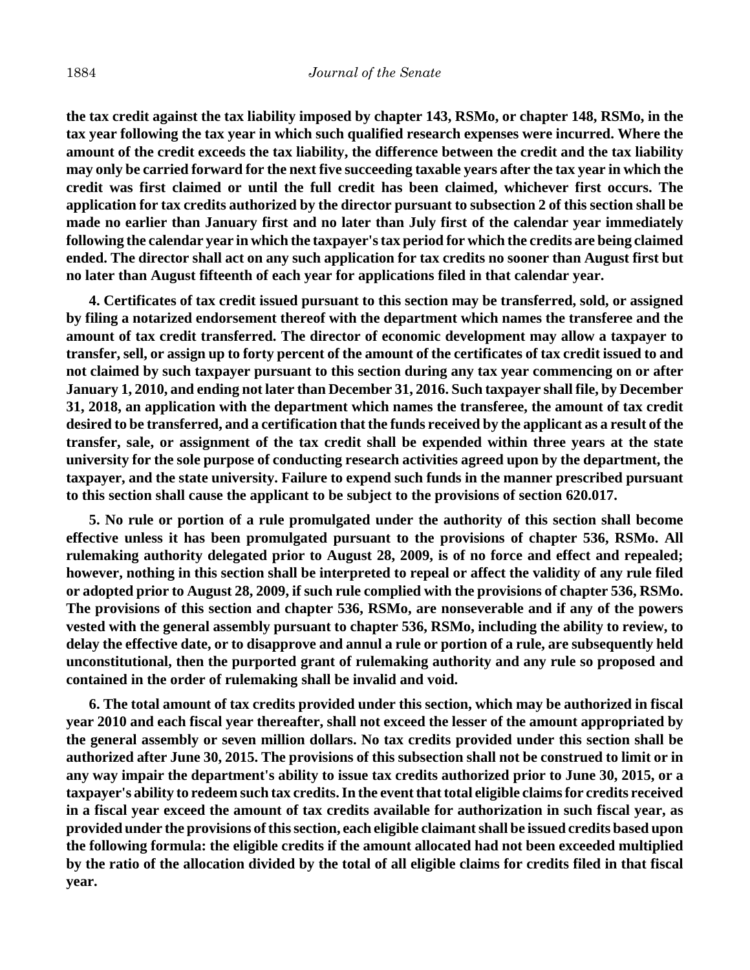**the tax credit against the tax liability imposed by chapter 143, RSMo, or chapter 148, RSMo, in the tax year following the tax year in which such qualified research expenses were incurred. Where the amount of the credit exceeds the tax liability, the difference between the credit and the tax liability may only be carried forward for the next five succeeding taxable years after the tax year in which the credit was first claimed or until the full credit has been claimed, whichever first occurs. The application for tax credits authorized by the director pursuant to subsection 2 of this section shall be made no earlier than January first and no later than July first of the calendar year immediately following the calendar year in which the taxpayer's tax period for which the credits are being claimed ended. The director shall act on any such application for tax credits no sooner than August first but no later than August fifteenth of each year for applications filed in that calendar year.**

**4. Certificates of tax credit issued pursuant to this section may be transferred, sold, or assigned by filing a notarized endorsement thereof with the department which names the transferee and the amount of tax credit transferred. The director of economic development may allow a taxpayer to transfer, sell, or assign up to forty percent of the amount of the certificates of tax credit issued to and not claimed by such taxpayer pursuant to this section during any tax year commencing on or after January 1, 2010, and ending not later than December 31, 2016. Such taxpayer shall file, by December 31, 2018, an application with the department which names the transferee, the amount of tax credit desired to be transferred, and a certification that the funds received by the applicant as a result of the transfer, sale, or assignment of the tax credit shall be expended within three years at the state university for the sole purpose of conducting research activities agreed upon by the department, the taxpayer, and the state university. Failure to expend such funds in the manner prescribed pursuant to this section shall cause the applicant to be subject to the provisions of section 620.017.**

**5. No rule or portion of a rule promulgated under the authority of this section shall become effective unless it has been promulgated pursuant to the provisions of chapter 536, RSMo. All rulemaking authority delegated prior to August 28, 2009, is of no force and effect and repealed; however, nothing in this section shall be interpreted to repeal or affect the validity of any rule filed or adopted prior to August 28, 2009, if such rule complied with the provisions of chapter 536, RSMo. The provisions of this section and chapter 536, RSMo, are nonseverable and if any of the powers vested with the general assembly pursuant to chapter 536, RSMo, including the ability to review, to delay the effective date, or to disapprove and annul a rule or portion of a rule, are subsequently held unconstitutional, then the purported grant of rulemaking authority and any rule so proposed and contained in the order of rulemaking shall be invalid and void.**

**6. The total amount of tax credits provided under this section, which may be authorized in fiscal year 2010 and each fiscal year thereafter, shall not exceed the lesser of the amount appropriated by the general assembly or seven million dollars. No tax credits provided under this section shall be authorized after June 30, 2015. The provisions of this subsection shall not be construed to limit or in any way impair the department's ability to issue tax credits authorized prior to June 30, 2015, or a taxpayer's ability to redeem such tax credits. In the event that total eligible claims for credits received in a fiscal year exceed the amount of tax credits available for authorization in such fiscal year, as provided under the provisions of this section, each eligible claimant shall be issued credits based upon the following formula: the eligible credits if the amount allocated had not been exceeded multiplied by the ratio of the allocation divided by the total of all eligible claims for credits filed in that fiscal year.**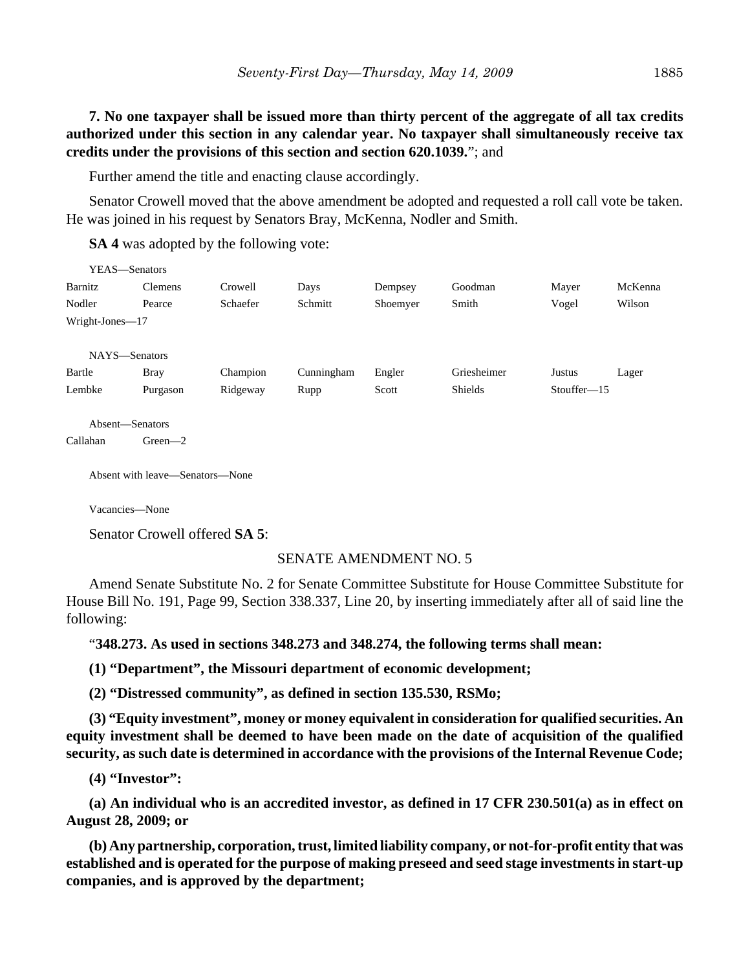**7. No one taxpayer shall be issued more than thirty percent of the aggregate of all tax credits authorized under this section in any calendar year. No taxpayer shall simultaneously receive tax credits under the provisions of this section and section 620.1039.**"; and

Further amend the title and enacting clause accordingly.

Senator Crowell moved that the above amendment be adopted and requested a roll call vote be taken. He was joined in his request by Senators Bray, McKenna, Nodler and Smith.

**SA 4** was adopted by the following vote:

| YEAS—Senators   |                                 |          |            |          |             |               |         |
|-----------------|---------------------------------|----------|------------|----------|-------------|---------------|---------|
| Barnitz         | Clemens                         | Crowell  | Days       | Dempsey  | Goodman     | Mayer         | McKenna |
| Nodler          | Pearce                          | Schaefer | Schmitt    | Shoemyer | Smith       | Vogel         | Wilson  |
| Wright-Jones-17 |                                 |          |            |          |             |               |         |
|                 |                                 |          |            |          |             |               |         |
| NAYS-Senators   |                                 |          |            |          |             |               |         |
| Bartle          | <b>Bray</b>                     | Champion | Cunningham | Engler   | Griesheimer | Justus        | Lager   |
| Lembke          | Purgason                        | Ridgeway | Rupp       | Scott    | Shields     | $Stouffer-15$ |         |
| Absent-Senators |                                 |          |            |          |             |               |         |
| Callahan        | Green $-2$                      |          |            |          |             |               |         |
|                 | Absent with leave—Senators—None |          |            |          |             |               |         |

Vacancies—None

Senator Crowell offered **SA 5**:

## SENATE AMENDMENT NO. 5

Amend Senate Substitute No. 2 for Senate Committee Substitute for House Committee Substitute for House Bill No. 191, Page 99, Section 338.337, Line 20, by inserting immediately after all of said line the following:

"**348.273. As used in sections 348.273 and 348.274, the following terms shall mean:**

**(1) "Department", the Missouri department of economic development;**

**(2) "Distressed community", as defined in section 135.530, RSMo;**

**(3) "Equity investment", money or money equivalent in consideration for qualified securities. An equity investment shall be deemed to have been made on the date of acquisition of the qualified security, as such date is determined in accordance with the provisions of the Internal Revenue Code;**

**(4) "Investor":**

**(a) An individual who is an accredited investor, as defined in 17 CFR 230.501(a) as in effect on August 28, 2009; or**

**(b) Any partnership, corporation, trust, limited liability company, or not-for-profit entity that was established and is operated for the purpose of making preseed and seed stage investments in start-up companies, and is approved by the department;**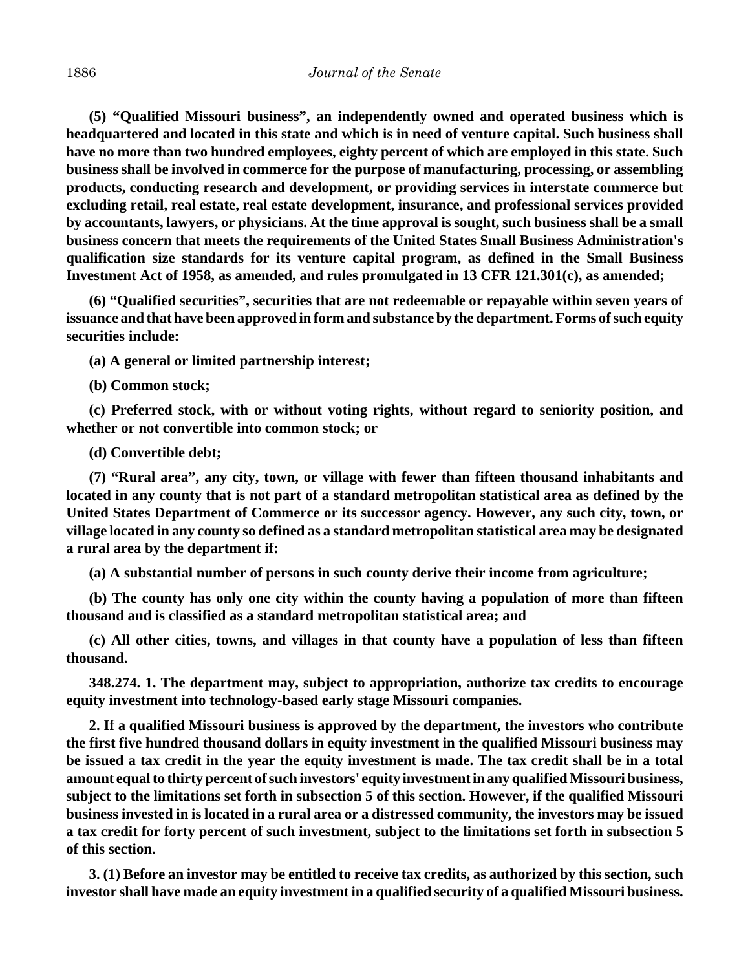**(5) "Qualified Missouri business", an independently owned and operated business which is headquartered and located in this state and which is in need of venture capital. Such business shall have no more than two hundred employees, eighty percent of which are employed in this state. Such business shall be involved in commerce for the purpose of manufacturing, processing, or assembling products, conducting research and development, or providing services in interstate commerce but excluding retail, real estate, real estate development, insurance, and professional services provided by accountants, lawyers, or physicians. At the time approval is sought, such business shall be a small business concern that meets the requirements of the United States Small Business Administration's qualification size standards for its venture capital program, as defined in the Small Business Investment Act of 1958, as amended, and rules promulgated in 13 CFR 121.301(c), as amended;**

**(6) "Qualified securities", securities that are not redeemable or repayable within seven years of issuance and that have been approved in form and substance by the department. Forms of such equity securities include:**

**(a) A general or limited partnership interest;**

**(b) Common stock;**

**(c) Preferred stock, with or without voting rights, without regard to seniority position, and whether or not convertible into common stock; or**

**(d) Convertible debt;**

**(7) "Rural area", any city, town, or village with fewer than fifteen thousand inhabitants and located in any county that is not part of a standard metropolitan statistical area as defined by the United States Department of Commerce or its successor agency. However, any such city, town, or village located in any county so defined as a standard metropolitan statistical area may be designated a rural area by the department if:**

**(a) A substantial number of persons in such county derive their income from agriculture;**

**(b) The county has only one city within the county having a population of more than fifteen thousand and is classified as a standard metropolitan statistical area; and**

**(c) All other cities, towns, and villages in that county have a population of less than fifteen thousand.**

**348.274. 1. The department may, subject to appropriation, authorize tax credits to encourage equity investment into technology-based early stage Missouri companies.**

**2. If a qualified Missouri business is approved by the department, the investors who contribute the first five hundred thousand dollars in equity investment in the qualified Missouri business may be issued a tax credit in the year the equity investment is made. The tax credit shall be in a total amount equal to thirty percent of such investors' equity investment in any qualified Missouri business, subject to the limitations set forth in subsection 5 of this section. However, if the qualified Missouri business invested in is located in a rural area or a distressed community, the investors may be issued a tax credit for forty percent of such investment, subject to the limitations set forth in subsection 5 of this section.**

**3. (1) Before an investor may be entitled to receive tax credits, as authorized by this section, such investor shall have made an equity investment in a qualified security of a qualified Missouri business.**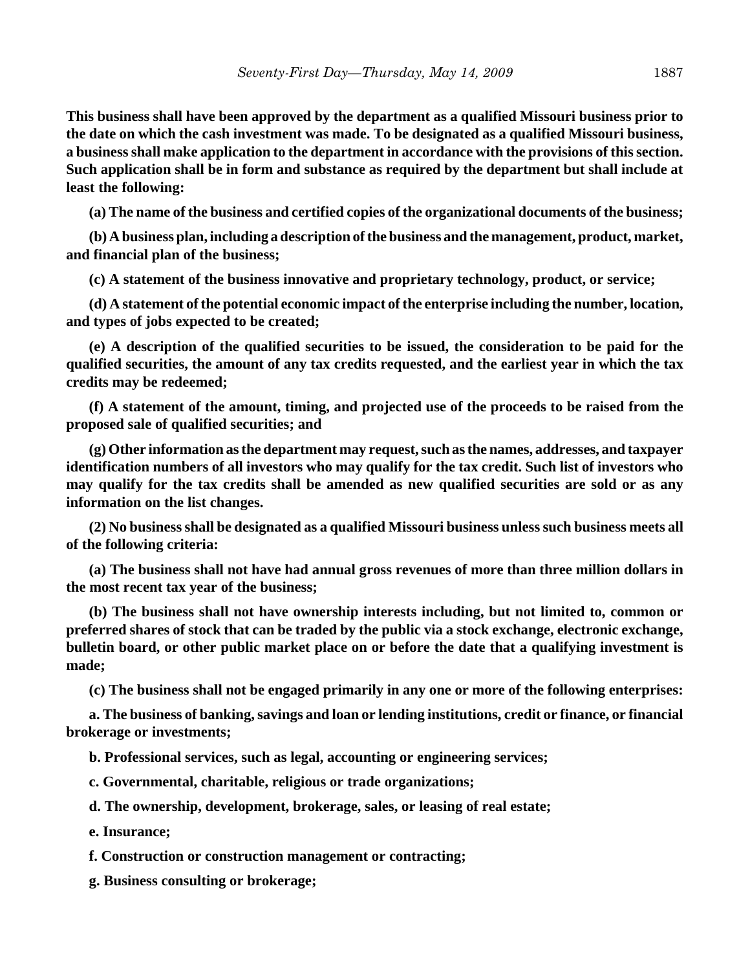**This business shall have been approved by the department as a qualified Missouri business prior to the date on which the cash investment was made. To be designated as a qualified Missouri business, a business shall make application to the department in accordance with the provisions of this section. Such application shall be in form and substance as required by the department but shall include at least the following:**

**(a) The name of the business and certified copies of the organizational documents of the business;**

**(b) A business plan, including a description of the business and the management, product, market, and financial plan of the business;**

**(c) A statement of the business innovative and proprietary technology, product, or service;**

**(d) A statement of the potential economic impact of the enterprise including the number, location, and types of jobs expected to be created;**

**(e) A description of the qualified securities to be issued, the consideration to be paid for the qualified securities, the amount of any tax credits requested, and the earliest year in which the tax credits may be redeemed;**

**(f) A statement of the amount, timing, and projected use of the proceeds to be raised from the proposed sale of qualified securities; and**

**(g) Other information as the department may request, such as the names, addresses, and taxpayer identification numbers of all investors who may qualify for the tax credit. Such list of investors who may qualify for the tax credits shall be amended as new qualified securities are sold or as any information on the list changes.**

**(2) No business shall be designated as a qualified Missouri business unless such business meets all of the following criteria:**

**(a) The business shall not have had annual gross revenues of more than three million dollars in the most recent tax year of the business;**

**(b) The business shall not have ownership interests including, but not limited to, common or preferred shares of stock that can be traded by the public via a stock exchange, electronic exchange, bulletin board, or other public market place on or before the date that a qualifying investment is made;**

**(c) The business shall not be engaged primarily in any one or more of the following enterprises:**

**a. The business of banking, savings and loan or lending institutions, credit or finance, or financial brokerage or investments;**

**b. Professional services, such as legal, accounting or engineering services;**

**c. Governmental, charitable, religious or trade organizations;**

**d. The ownership, development, brokerage, sales, or leasing of real estate;**

**e. Insurance;**

**f. Construction or construction management or contracting;**

**g. Business consulting or brokerage;**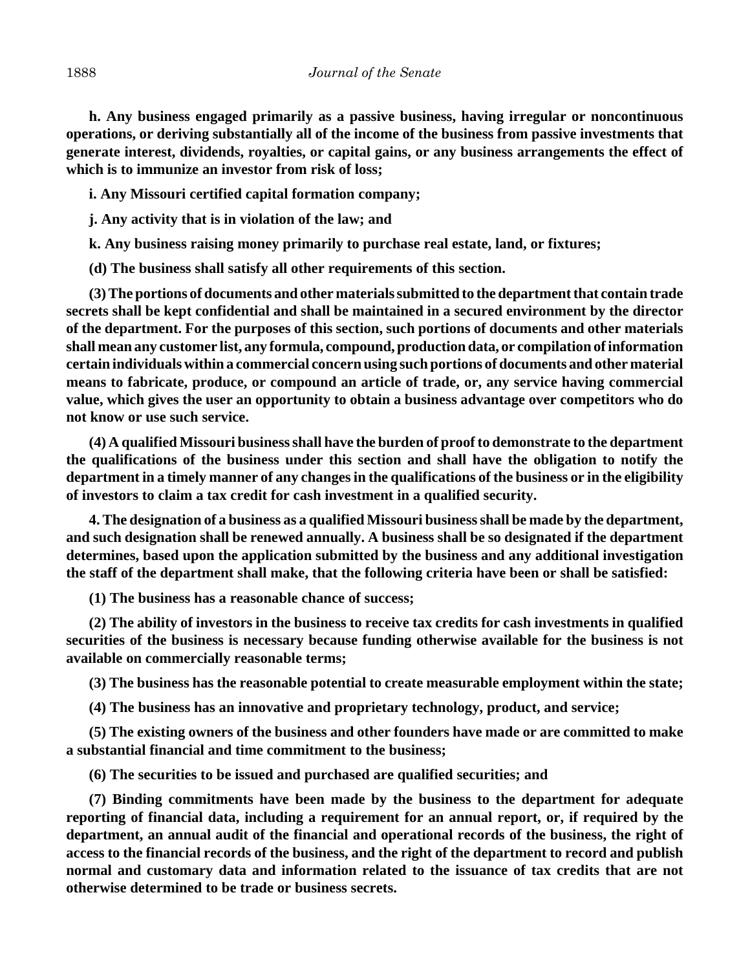**h. Any business engaged primarily as a passive business, having irregular or noncontinuous operations, or deriving substantially all of the income of the business from passive investments that generate interest, dividends, royalties, or capital gains, or any business arrangements the effect of which is to immunize an investor from risk of loss;**

**i. Any Missouri certified capital formation company;**

**j. Any activity that is in violation of the law; and**

**k. Any business raising money primarily to purchase real estate, land, or fixtures;**

**(d) The business shall satisfy all other requirements of this section.**

**(3) The portions of documents and other materials submitted to the department that contain trade secrets shall be kept confidential and shall be maintained in a secured environment by the director of the department. For the purposes of this section, such portions of documents and other materials shall mean any customer list, any formula, compound, production data, or compilation of information certain individuals within a commercial concern using such portions of documents and other material means to fabricate, produce, or compound an article of trade, or, any service having commercial value, which gives the user an opportunity to obtain a business advantage over competitors who do not know or use such service.**

**(4) A qualified Missouri business shall have the burden of proof to demonstrate to the department the qualifications of the business under this section and shall have the obligation to notify the department in a timely manner of any changes in the qualifications of the business or in the eligibility of investors to claim a tax credit for cash investment in a qualified security.**

**4. The designation of a business as a qualified Missouri business shall be made by the department, and such designation shall be renewed annually. A business shall be so designated if the department determines, based upon the application submitted by the business and any additional investigation the staff of the department shall make, that the following criteria have been or shall be satisfied:**

**(1) The business has a reasonable chance of success;**

**(2) The ability of investors in the business to receive tax credits for cash investments in qualified securities of the business is necessary because funding otherwise available for the business is not available on commercially reasonable terms;**

**(3) The business has the reasonable potential to create measurable employment within the state;**

**(4) The business has an innovative and proprietary technology, product, and service;**

**(5) The existing owners of the business and other founders have made or are committed to make a substantial financial and time commitment to the business;**

**(6) The securities to be issued and purchased are qualified securities; and**

**(7) Binding commitments have been made by the business to the department for adequate reporting of financial data, including a requirement for an annual report, or, if required by the department, an annual audit of the financial and operational records of the business, the right of access to the financial records of the business, and the right of the department to record and publish normal and customary data and information related to the issuance of tax credits that are not otherwise determined to be trade or business secrets.**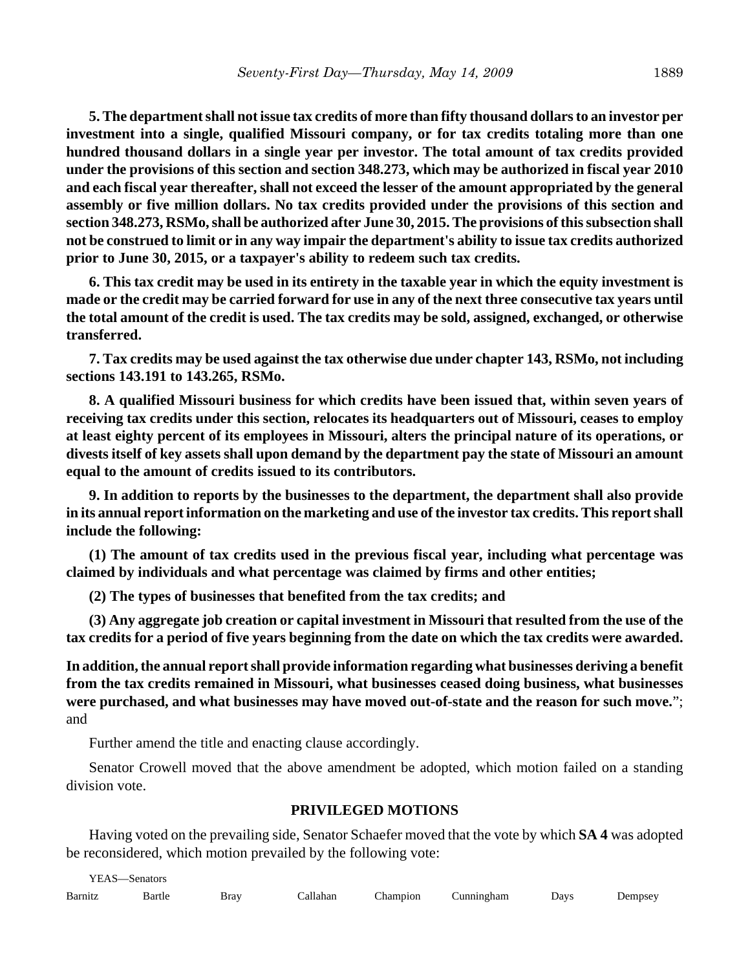**5. The department shall not issue tax credits of more than fifty thousand dollars to an investor per investment into a single, qualified Missouri company, or for tax credits totaling more than one hundred thousand dollars in a single year per investor. The total amount of tax credits provided under the provisions of this section and section 348.273, which may be authorized in fiscal year 2010 and each fiscal year thereafter, shall not exceed the lesser of the amount appropriated by the general assembly or five million dollars. No tax credits provided under the provisions of this section and section 348.273, RSMo, shall be authorized after June 30, 2015. The provisions of this subsection shall not be construed to limit or in any way impair the department's ability to issue tax credits authorized prior to June 30, 2015, or a taxpayer's ability to redeem such tax credits.**

**6. This tax credit may be used in its entirety in the taxable year in which the equity investment is made or the credit may be carried forward for use in any of the next three consecutive tax years until the total amount of the credit is used. The tax credits may be sold, assigned, exchanged, or otherwise transferred.**

**7. Tax credits may be used against the tax otherwise due under chapter 143, RSMo, not including sections 143.191 to 143.265, RSMo.**

**8. A qualified Missouri business for which credits have been issued that, within seven years of receiving tax credits under this section, relocates its headquarters out of Missouri, ceases to employ at least eighty percent of its employees in Missouri, alters the principal nature of its operations, or divests itself of key assets shall upon demand by the department pay the state of Missouri an amount equal to the amount of credits issued to its contributors.**

**9. In addition to reports by the businesses to the department, the department shall also provide in its annual report information on the marketing and use of the investor tax credits. This report shall include the following:**

**(1) The amount of tax credits used in the previous fiscal year, including what percentage was claimed by individuals and what percentage was claimed by firms and other entities;**

**(2) The types of businesses that benefited from the tax credits; and**

**(3) Any aggregate job creation or capital investment in Missouri that resulted from the use of the tax credits for a period of five years beginning from the date on which the tax credits were awarded.**

**In addition, the annual report shall provide information regarding what businesses deriving a benefit from the tax credits remained in Missouri, what businesses ceased doing business, what businesses were purchased, and what businesses may have moved out-of-state and the reason for such move.**"; and

Further amend the title and enacting clause accordingly.

Senator Crowell moved that the above amendment be adopted, which motion failed on a standing division vote.

## **PRIVILEGED MOTIONS**

Having voted on the prevailing side, Senator Schaefer moved that the vote by which **SA 4** was adopted be reconsidered, which motion prevailed by the following vote:

| YEAS-<br>-Senators |             |      |          |          |            |      |         |  |
|--------------------|-------------|------|----------|----------|------------|------|---------|--|
| Barnitz            | Bartle<br>. | Bray | Callahan | Champion | Cunningham | Days | Dempsey |  |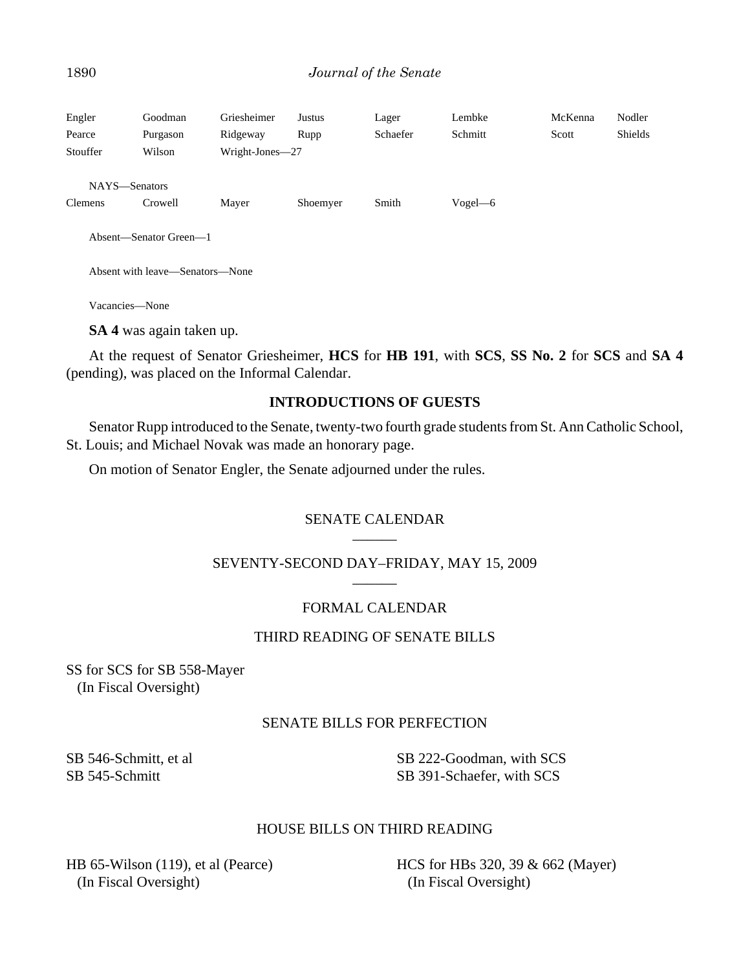## 1890 *Journal of the Senate*

| Engler<br>Pearce<br>Stouffer    | Goodman<br>Purgason<br>Wilson   | Griesheimer<br>Ridgeway<br>Wright-Jones-27 | Justus<br>Rupp | Lager<br>Schaefer | Lembke<br>Schmitt | McKenna<br>Scott | Nodler<br><b>Shields</b> |
|---------------------------------|---------------------------------|--------------------------------------------|----------------|-------------------|-------------------|------------------|--------------------------|
| NAYS-Senators<br><b>Clemens</b> | Crowell                         | Mayer                                      | Shoemyer       | Smith             | $Vogel$ -6        |                  |                          |
|                                 | Absent—Senator Green—1          |                                            |                |                   |                   |                  |                          |
|                                 | Absent with leave—Senators—None |                                            |                |                   |                   |                  |                          |

Vacancies—None

**SA 4** was again taken up.

At the request of Senator Griesheimer, **HCS** for **HB 191**, with **SCS**, **SS No. 2** for **SCS** and **SA 4** (pending), was placed on the Informal Calendar.

## **INTRODUCTIONS OF GUESTS**

Senator Rupp introduced to the Senate, twenty-two fourth grade students from St. Ann Catholic School, St. Louis; and Michael Novak was made an honorary page.

On motion of Senator Engler, the Senate adjourned under the rules.

## SENATE CALENDAR  $\overline{\phantom{a}}$

#### SEVENTY-SECOND DAY–FRIDAY, MAY 15, 2009  $\overline{\phantom{a}}$

## FORMAL CALENDAR

## THIRD READING OF SENATE BILLS

SS for SCS for SB 558-Mayer (In Fiscal Oversight)

## SENATE BILLS FOR PERFECTION

SB 546-Schmitt, et al SB 545-Schmitt

SB 222-Goodman, with SCS SB 391-Schaefer, with SCS

## HOUSE BILLS ON THIRD READING

HB 65-Wilson (119), et al (Pearce) (In Fiscal Oversight)

HCS for HBs 320, 39 & 662 (Mayer) (In Fiscal Oversight)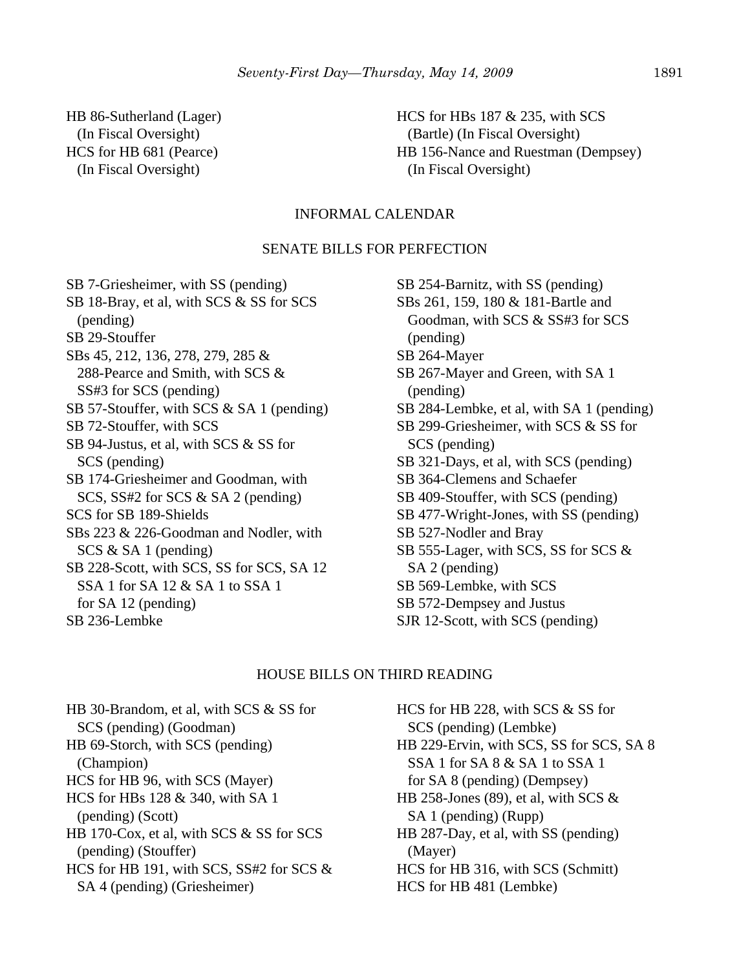HB 86-Sutherland (Lager) (In Fiscal Oversight) HCS for HB 681 (Pearce) (In Fiscal Oversight)

HCS for HBs 187 & 235, with SCS (Bartle) (In Fiscal Oversight) HB 156-Nance and Ruestman (Dempsey) (In Fiscal Oversight)

## INFORMAL CALENDAR

## SENATE BILLS FOR PERFECTION

SB 7-Griesheimer, with SS (pending) SB 18-Bray, et al, with SCS & SS for SCS (pending) SB 29-Stouffer SBs 45, 212, 136, 278, 279, 285 & 288-Pearce and Smith, with SCS & SS#3 for SCS (pending) SB 57-Stouffer, with SCS & SA 1 (pending) SB 72-Stouffer, with SCS SB 94-Justus, et al, with SCS & SS for SCS (pending) SB 174-Griesheimer and Goodman, with SCS, SS#2 for SCS & SA 2 (pending) SCS for SB 189-Shields SBs 223 & 226-Goodman and Nodler, with SCS & SA 1 (pending) SB 228-Scott, with SCS, SS for SCS, SA 12 SSA 1 for SA 12 & SA 1 to SSA 1 for SA 12 (pending) SB 236-Lembke

SB 254-Barnitz, with SS (pending) SBs 261, 159, 180 & 181-Bartle and Goodman, with SCS & SS#3 for SCS (pending) SB 264-Mayer SB 267-Mayer and Green, with SA 1 (pending) SB 284-Lembke, et al, with SA 1 (pending) SB 299-Griesheimer, with SCS & SS for SCS (pending) SB 321-Days, et al, with SCS (pending) SB 364-Clemens and Schaefer SB 409-Stouffer, with SCS (pending) SB 477-Wright-Jones, with SS (pending) SB 527-Nodler and Bray SB 555-Lager, with SCS, SS for SCS & SA 2 (pending) SB 569-Lembke, with SCS SB 572-Dempsey and Justus SJR 12-Scott, with SCS (pending)

#### HOUSE BILLS ON THIRD READING

HB 30-Brandom, et al, with SCS & SS for SCS (pending) (Goodman) HB 69-Storch, with SCS (pending) (Champion) HCS for HB 96, with SCS (Mayer) HCS for HBs 128 & 340, with SA 1 (pending) (Scott) HB 170-Cox, et al, with SCS & SS for SCS (pending) (Stouffer) HCS for HB 191, with SCS, SS#2 for SCS & SA 4 (pending) (Griesheimer)

HCS for HB 228, with SCS & SS for SCS (pending) (Lembke) HB 229-Ervin, with SCS, SS for SCS, SA 8 SSA 1 for SA 8 & SA 1 to SSA 1 for SA 8 (pending) (Dempsey) HB 258-Jones (89), et al, with SCS  $\&$  SA 1 (pending) (Rupp) HB 287-Day, et al, with SS (pending) (Mayer) HCS for HB 316, with SCS (Schmitt) HCS for HB 481 (Lembke)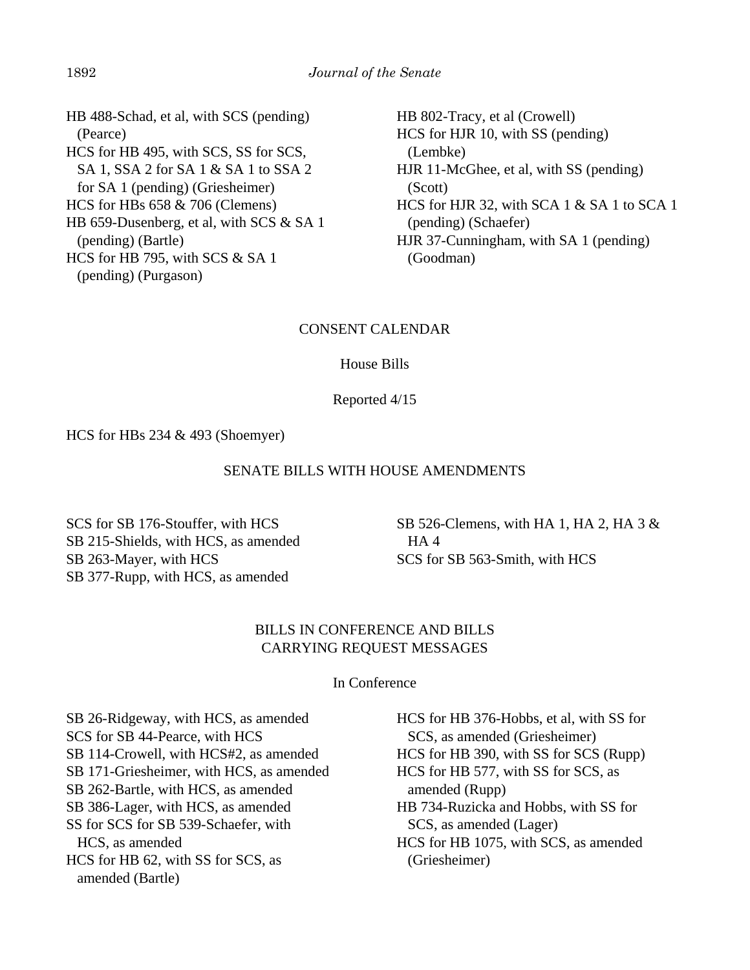HB 488-Schad, et al, with SCS (pending) (Pearce) HCS for HB 495, with SCS, SS for SCS, SA 1, SSA 2 for SA 1 & SA 1 to SSA 2 for SA 1 (pending) (Griesheimer) HCS for HBs 658 & 706 (Clemens) HB 659-Dusenberg, et al, with SCS & SA 1 (pending) (Bartle) HCS for HB 795, with SCS & SA 1 (pending) (Purgason)

HB 802-Tracy, et al (Crowell) HCS for HJR 10, with SS (pending) (Lembke) HJR 11-McGhee, et al, with SS (pending) (Scott) HCS for HJR 32, with SCA 1 & SA 1 to SCA 1 (pending) (Schaefer) HJR 37-Cunningham, with SA 1 (pending) (Goodman)

## CONSENT CALENDAR

House Bills

Reported 4/15

HCS for HBs 234 & 493 (Shoemyer)

## SENATE BILLS WITH HOUSE AMENDMENTS

SCS for SB 176-Stouffer, with HCS SB 215-Shields, with HCS, as amended SB 263-Mayer, with HCS SB 377-Rupp, with HCS, as amended

SB 526-Clemens, with HA 1, HA 2, HA 3 & HA 4 SCS for SB 563-Smith, with HCS

## BILLS IN CONFERENCE AND BILLS CARRYING REQUEST MESSAGES

In Conference

SB 26-Ridgeway, with HCS, as amended SCS for SB 44-Pearce, with HCS SB 114-Crowell, with HCS#2, as amended SB 171-Griesheimer, with HCS, as amended SB 262-Bartle, with HCS, as amended SB 386-Lager, with HCS, as amended SS for SCS for SB 539-Schaefer, with HCS, as amended HCS for HB 62, with SS for SCS, as amended (Bartle)

HCS for HB 376-Hobbs, et al, with SS for SCS, as amended (Griesheimer) HCS for HB 390, with SS for SCS (Rupp) HCS for HB 577, with SS for SCS, as amended (Rupp) HB 734-Ruzicka and Hobbs, with SS for SCS, as amended (Lager) HCS for HB 1075, with SCS, as amended (Griesheimer)